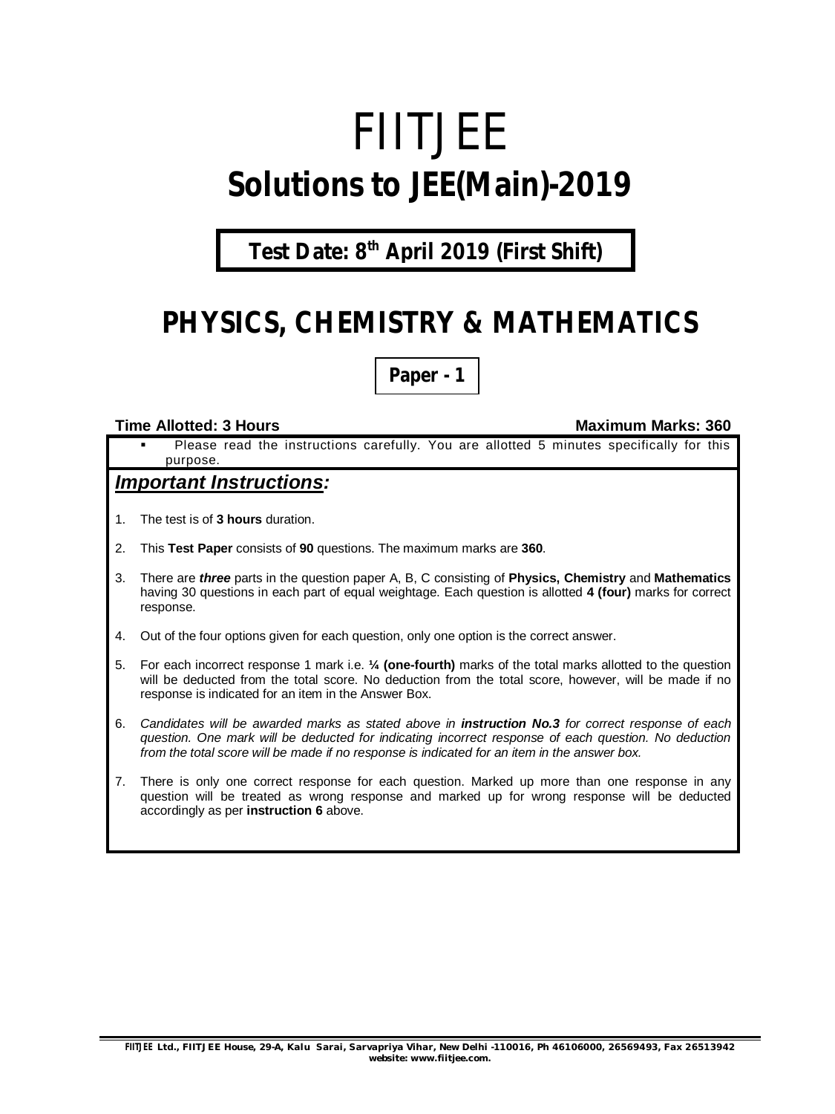# FIITJEE **Solutions to JEE(Main)-2019**

### **Test Date: 8 th April 2019 (First Shift)**

# **PHYSICS, CHEMISTRY & MATHEMATICS**

**Paper - 1**

#### **Time Allotted: 3 Hours Maximum Marks: 360**

 Please read the instructions carefully. You are allotted 5 minutes specifically for this purpose.

### *Important Instructions:*

- 1. The test is of **3 hours** duration.
- 2. This **Test Paper** consists of **90** questions. The maximum marks are **360**.
- 3. There are *three* parts in the question paper A, B, C consisting of **Physics, Chemistry** and **Mathematics** having 30 questions in each part of equal weightage. Each question is allotted **4 (four)** marks for correct response.
- 4. Out of the four options given for each question, only one option is the correct answer.
- 5. For each incorrect response 1 mark i.e. **¼ (one-fourth)** marks of the total marks allotted to the question will be deducted from the total score. No deduction from the total score, however, will be made if no response is indicated for an item in the Answer Box.
- 6. *Candidates will be awarded marks as stated above in instruction No.3 for correct response of each question. One mark will be deducted for indicating incorrect response of each question. No deduction from the total score will be made if no response is indicated for an item in the answer box.*
- 7. There is only one correct response for each question. Marked up more than one response in any question will be treated as wrong response and marked up for wrong response will be deducted accordingly as per **instruction 6** above.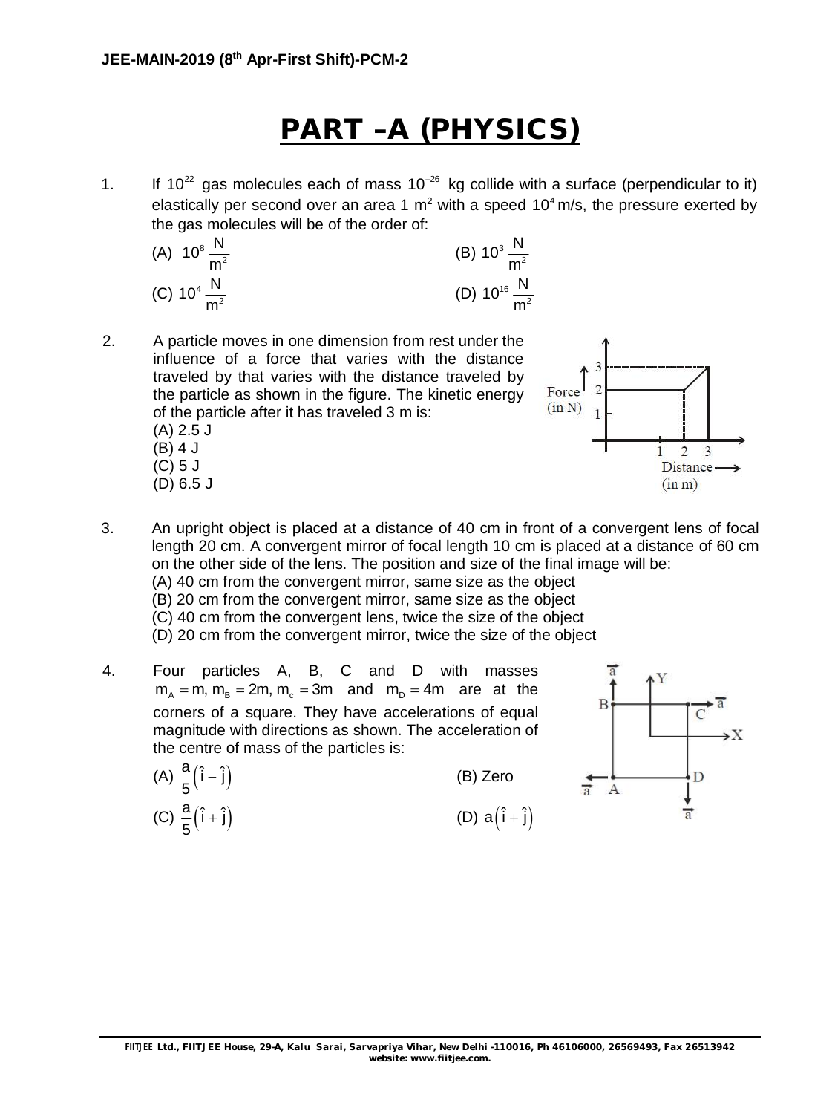# **PART –A (PHYSICS)**

1. If 10<sup>22</sup> gas molecules each of mass 10<sup>-26</sup> kg collide with a surface (perpendicular to it) elastically per second over an area 1  $m^2$  with a speed 10<sup>4</sup> m/s, the pressure exerted by the gas molecules will be of the order of:

(A) 
$$
10^8 \frac{N}{m^2}
$$
  
\n(B)  $10^3 \frac{N}{m^2}$   
\n(C)  $10^4 \frac{N}{m^2}$   
\n(D)  $10^{16} \frac{N}{m^2}$ 

2. A particle moves in one dimension from rest under the influence of a force that varies with the distance traveled by that varies with the distance traveled by the particle as shown in the figure. The kinetic energy of the particle after it has traveled 3 m is: (A) 2.5 J (B) 4 J (C) 5 J

(D) 6.5 J



- 3. An upright object is placed at a distance of 40 cm in front of a convergent lens of focal length 20 cm. A convergent mirror of focal length 10 cm is placed at a distance of 60 cm on the other side of the lens. The position and size of the final image will be:
	- (A) 40 cm from the convergent mirror, same size as the object
	- (B) 20 cm from the convergent mirror, same size as the object
	- (C) 40 cm from the convergent lens, twice the size of the object
	- (D) 20 cm from the convergent mirror, twice the size of the object
- 4. Four particles A, B, C and D with masses  $m<sub>n</sub> = m$ ,  $m<sub>n</sub> = 2m$ ,  $m<sub>n</sub> = 3m$  and  $m<sub>n</sub> = 4m$  are at the corners of a square. They have accelerations of equal magnitude with directions as shown. The acceleration of the centre of mass of the particles is:

(A) 
$$
\frac{a}{5}(\hat{i} - \hat{j})
$$
 (B) Zero  
\n(C)  $\frac{a}{5}(\hat{i} + \hat{j})$  (D)  $a(\hat{i} + \hat{j})$ 

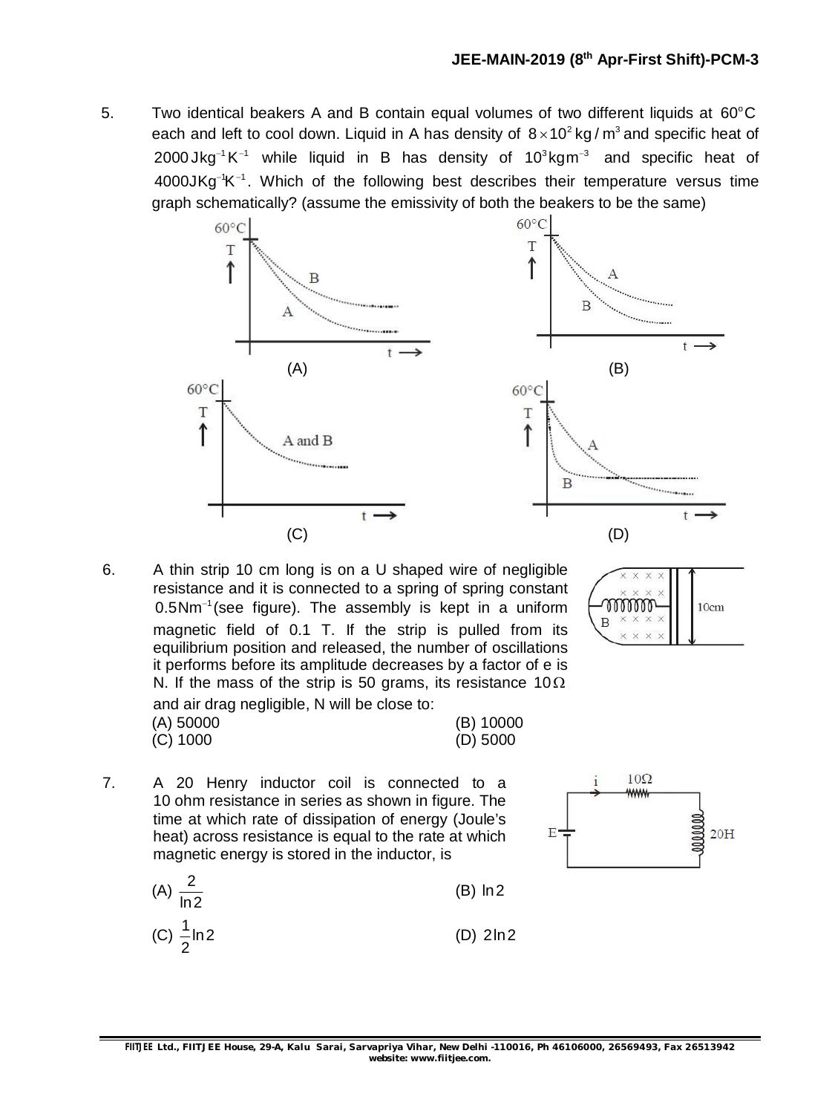5. Two identical beakers A and B contain equal volumes of two different liquids at  $60^{\circ}$ C each and left to cool down. Liquid in A has density of  $8 \times 10^2$  kg / m<sup>3</sup> and specific heat of 2000 Jkg<sup>-1</sup> K<sup>-1</sup> while liquid in B has density of 10 ${}^{3}$ kgm<sup>-3</sup> and specific heat of  $4000JKg<sup>-1</sup>K<sup>-1</sup>$ . Which of the following best describes their temperature versus time graph schematically? (assume the emissivity of both the beakers to be the same)





6. A thin strip 10 cm long is on a U shaped wire of negligible resistance and it is connected to a spring of spring constant  $0.5$ Nm<sup>-1</sup> (see figure). The assembly is kept in a uniform magnetic field of 0.1 T. If the strip is pulled from its equilibrium position and released, the number of oscillations it performs before its amplitude decreases by a factor of e is N. If the mass of the strip is 50 grams, its resistance 10 $\Omega$ and air drag negligible, N will be close to: (A) 50000 (B) 10000

| mm | 0 <sub>cm</sub> |
|----|-----------------|
|    |                 |
|    |                 |

(C) 1000 (D) 5000



 $10\Omega$ 

7. A 20 Henry inductor coil is connected to a 10 ohm resistance in series as shown in figure. The time at which rate of dissipation of energy (Joule's heat) across resistance is equal to the rate at which magnetic energy is stored in the inductor, is

$$
(A) \frac{2}{\ln 2} \tag{B) ln 2}
$$

(C) 
$$
\frac{1}{2}
$$
ln2 (D) 2ln2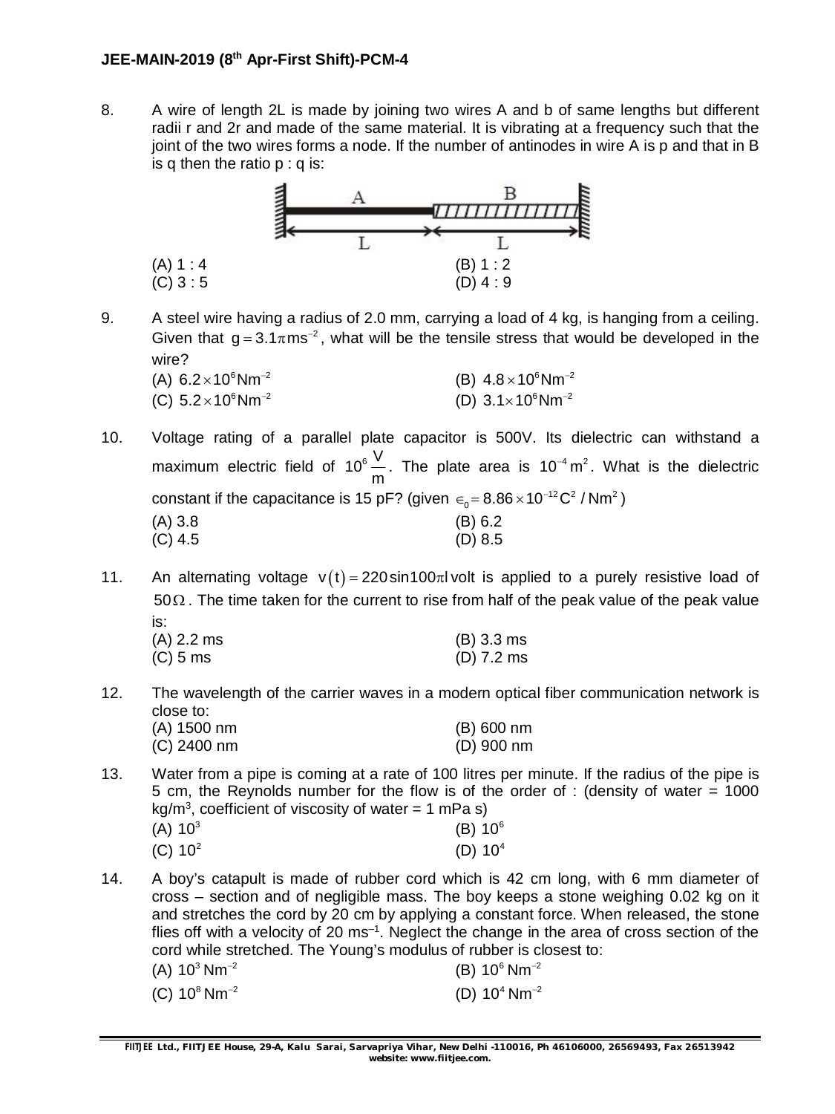### **JEE-MAIN-2019 (8 th Apr-First Shift)-PCM-4**

8. A wire of length 2L is made by joining two wires A and b of same lengths but different radii r and 2r and made of the same material. It is vibrating at a frequency such that the joint of the two wires forms a node. If the number of antinodes in wire A is p and that in B is q then the ratio  $p : q$  is:



9. A steel wire having a radius of 2.0 mm, carrying a load of 4 kg, is hanging from a ceiling. Given that  $g = 3.1 \pi m s^{-2}$ , what will be the tensile stress that would be developed in the wire?

| (A) $6.2 \times 10^6$ Nm <sup>-2</sup> | (B) $4.8 \times 10^6$ Nm <sup>-2</sup> |
|----------------------------------------|----------------------------------------|
| (C) $5.2 \times 10^6$ Nm <sup>-2</sup> | (D) $3.1 \times 10^6$ Nm <sup>-2</sup> |

10. Voltage rating of a parallel plate capacitor is 500V. Its dielectric can withstand a maximum electric field of 10 $^6$   $\stackrel{\sf V}{-}$ m . The plate area is  $10^{-4}$  m<sup>2</sup>. What is the dielectric constant if the capacitance is 15 pF? (given  $\epsilon_0 = 8.86 \times 10^{-12} \text{C}^2$  / Nm<sup>2</sup>)  $(A)$  3.8 (B) 6.2 (C) 4.5 (D) 8.5

11. An alternating voltage  $v(t) = 220 \sin 100 \pi l$  volt is applied to a purely resistive load of  $50\Omega$ . The time taken for the current to rise from half of the peak value of the peak value is: (A) 2.2 ms (B) 3.3 ms (C) 5 ms (D) 7.2 ms

12. The wavelength of the carrier waves in a modern optical fiber communication network is close to: (A) 1500 nm (B) 600 nm

| (A) 1500 nm   | $(B)$ 600 nm |
|---------------|--------------|
| $(C)$ 2400 nm | $(D)$ 900 nm |

13. Water from a pipe is coming at a rate of 100 litres per minute. If the radius of the pipe is 5 cm, the Reynolds number for the flow is of the order of : (density of water = 1000 kg/m<sup>3</sup>, coefficient of viscosity of water = 1 mPa s)  $(1)$   $10<sup>3</sup>$  $10^3$  (B)  $10^6$  $(2)$   $(2)$ 

| (A) TU     | טו (ס)     |
|------------|------------|
| (C) $10^2$ | (D) $10^4$ |

14. A boy's catapult is made of rubber cord which is 42 cm long, with 6 mm diameter of cross – section and of negligible mass. The boy keeps a stone weighing 0.02 kg on it and stretches the cord by 20 cm by applying a constant force. When released, the stone flies off with a velocity of 20 ms<sup>-1</sup>. Neglect the change in the area of cross section of the cord while stretched. The Young's modulus of rubber is closest to: (A)  $10^3$  Nm<sup>-2</sup> (B)  $10^6$  Nm<sup>-2</sup>

| .                           |                             |
|-----------------------------|-----------------------------|
| (C) $10^8$ Nm <sup>-2</sup> | (D) $10^4$ Nm <sup>-2</sup> |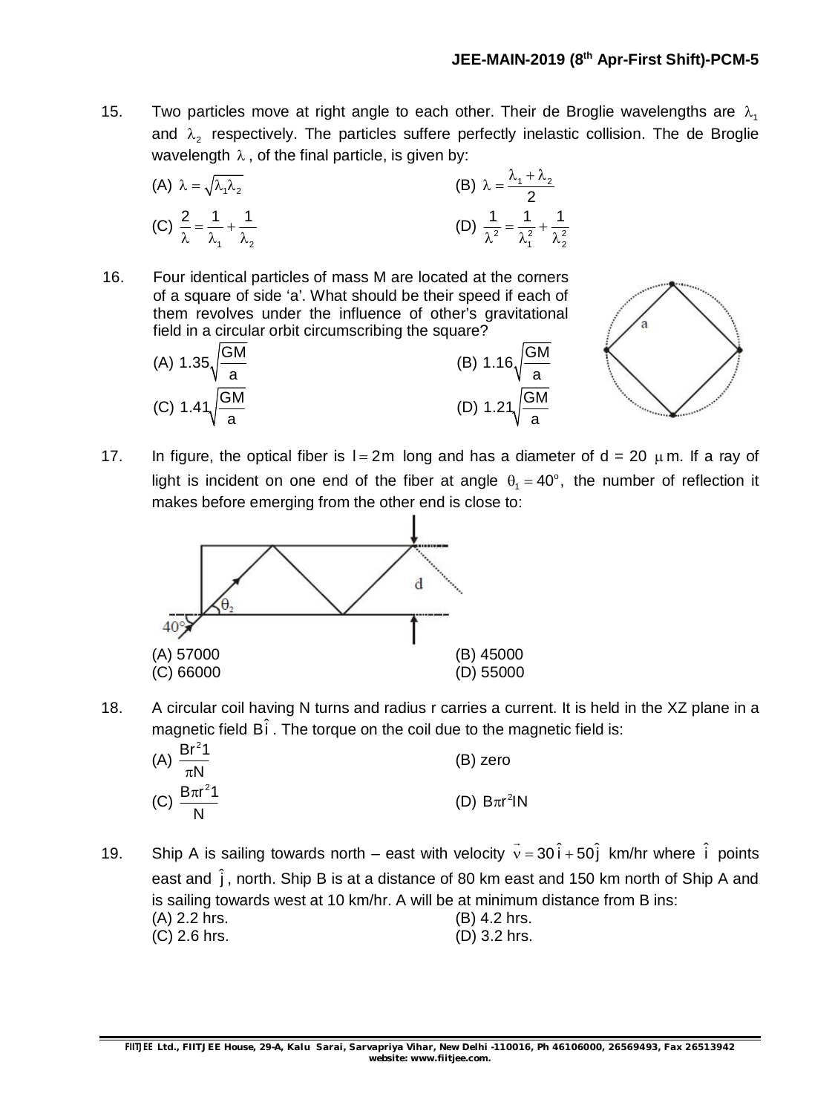15. Two particles move at right angle to each other. Their de Broglie wavelengths are  $\lambda_1$ and  $\lambda_2$  respectively. The particles suffere perfectly inelastic collision. The de Broglie wavelength  $\lambda$ , of the final particle, is given by:

(A) 
$$
\lambda = \sqrt{\lambda_1 \lambda_2}
$$
  
\n(B)  $\lambda = \frac{\lambda_1 + \lambda_2}{2}$   
\n(C)  $\frac{2}{\lambda} = \frac{1}{\lambda_1} + \frac{1}{\lambda_2}$   
\n(D)  $\frac{1}{\lambda^2} = \frac{1}{\lambda_1^2} + \frac{1}{\lambda_2^2}$ 

16. Four identical particles of mass M are located at the corners of a square of side 'a'. What should be their speed if each of them revolves under the influence of other's gravitational

field in a circular orbit circumscribing the square?  
\n(A) 
$$
1.35\sqrt{\frac{GM}{a}}
$$
  
\n(B)  $1.16\sqrt{\frac{GM}{a}}$   
\n(C)  $1.41\sqrt{\frac{GM}{a}}$   
\n(D)  $1.21\sqrt{\frac{GM}{a}}$ 



17. In figure, the optical fiber is  $l = 2m$  long and has a diameter of  $d = 20 \mu m$ . If a ray of light is incident on one end of the fiber at angle  $\theta_1 = 40^\circ$ , the number of reflection it makes before emerging from the other end is close to:



18. A circular coil having N turns and radius r carries a current. It is held in the XZ plane in a magnetic field  $\mathsf{B} \hat{\mathsf{i}}$  . The torque on the coil due to the magnetic field is:

| (A) $\frac{Br^21}{\pi N}$  | (B) zero          |
|----------------------------|-------------------|
| (C) $\frac{B\pi r^2 1}{N}$ | (D) $B\pi r^2 IN$ |

19. Ship A is sailing towards north – east with velocity  $\vec{v} = 30 \hat{i} + 50 \hat{j}$  km/hr where  $\hat{i}$  points east and  $\hat{j}$ , north. Ship B is at a distance of 80 km east and 150 km north of Ship A and is sailing towards west at 10 km/hr. A will be at minimum distance from B ins: (A) 2.2 hrs. (B) 4.2 hrs. (C) 2.6 hrs. (D) 3.2 hrs.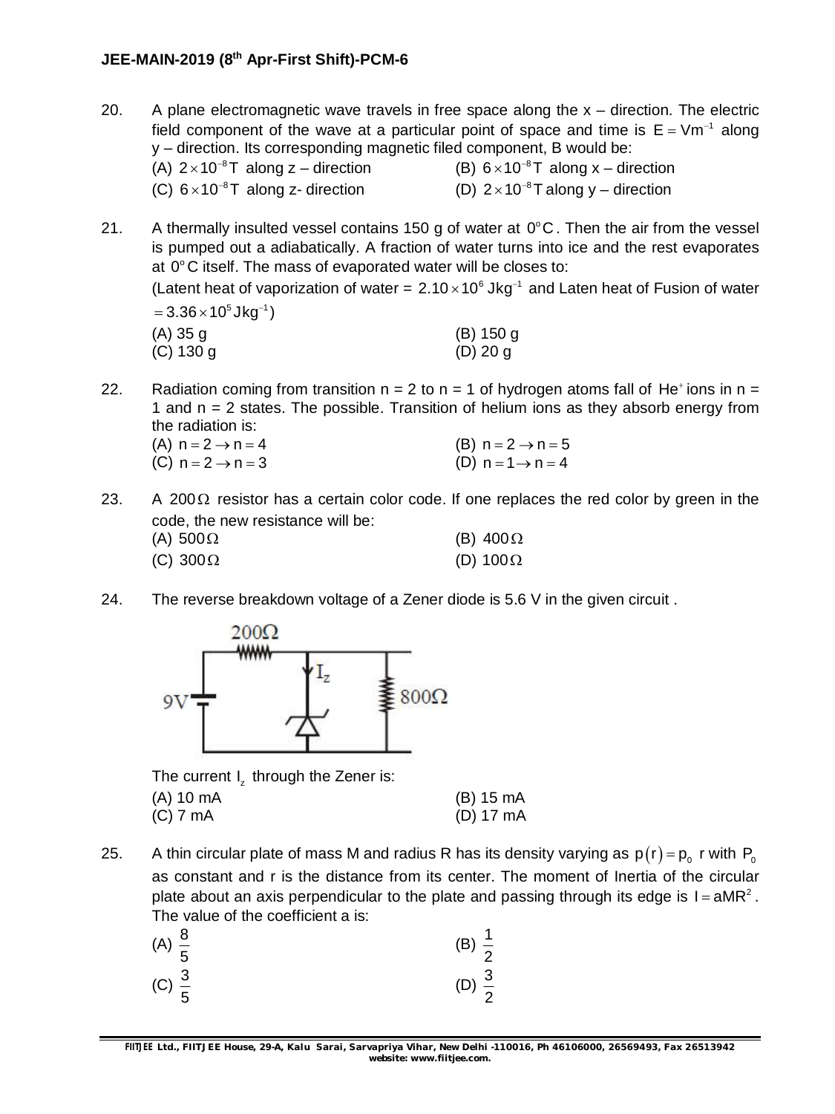### **JEE-MAIN-2019 (8 th Apr-First Shift)-PCM-6**

- 20. A plane electromagnetic wave travels in free space along the  $x -$  direction. The electric field component of the wave at a particular point of space and time is  $E = Vm^{-1}$  along y – direction. Its corresponding magnetic filed component, B would be: (A)  $2 \times 10^{-8}$ T along z – direction (B)  $6 \times 10^{-8}$  $6 \times 10^{-8}$ T along x – direction (C)  $6 \times 10^{-8}$ T along z- direction (D)  $2 \times 10^{-8}$ 2 $\times$ 10 $^{-8}$ T along y – direction
- 21. A thermally insulted vessel contains 150 g of water at  $0^{\circ}$ C. Then the air from the vessel is pumped out a adiabatically. A fraction of water turns into ice and the rest evaporates at 0°C itself. The mass of evaporated water will be closes to: (Latent heat of vaporization of water =  $2.10 \times 10^6$  Jkg<sup>-1</sup> and Laten heat of Fusion of water  $= 3.36 \times 10^5$ Jkg $^{-1}$ ) (A) 35 g (B) 150 g (C) 130 g (D) 20 g

22. Radiation coming from transition  $n = 2$  to  $n = 1$  of hydrogen atoms fall of He<sup>+</sup>ions in  $n =$ 1 and  $n = 2$  states. The possible. Transition of helium ions as they absorb energy from the radiation is:

| (A) $n = 2 \rightarrow n = 4$ | (B) $n = 2 \rightarrow n = 5$ |
|-------------------------------|-------------------------------|
| (C) $n = 2 \rightarrow n = 3$ | (D) $n = 1 \rightarrow n = 4$ |

- 23. A 200 $\Omega$  resistor has a certain color code. If one replaces the red color by green in the code, the new resistance will be: (A)  $500\Omega$  (B)  $400\Omega$ (C)  $300\Omega$  (D)  $100\Omega$
- 24. The reverse breakdown voltage of a Zener diode is 5.6 V in the given circuit .



The current  $I_z$  through the Zener is: (A) 10 mA (B) 15 mA (C) 7 mA (D) 17 mA

25.  $\;\;\;$  A thin circular plate of mass M and radius R has its density varying as  $\sf p(r)\sf = p_o$  r with  $\sf P_o$ as constant and r is the distance from its center. The moment of Inertia of the circular plate about an axis perpendicular to the plate and passing through its edge is  $I = aMR^2$ . The value of the coefficient a is:

| (A) $\frac{8}{5}$ | (B) $\frac{1}{2}$ |
|-------------------|-------------------|
| (C) $\frac{3}{5}$ | (D) $\frac{3}{2}$ |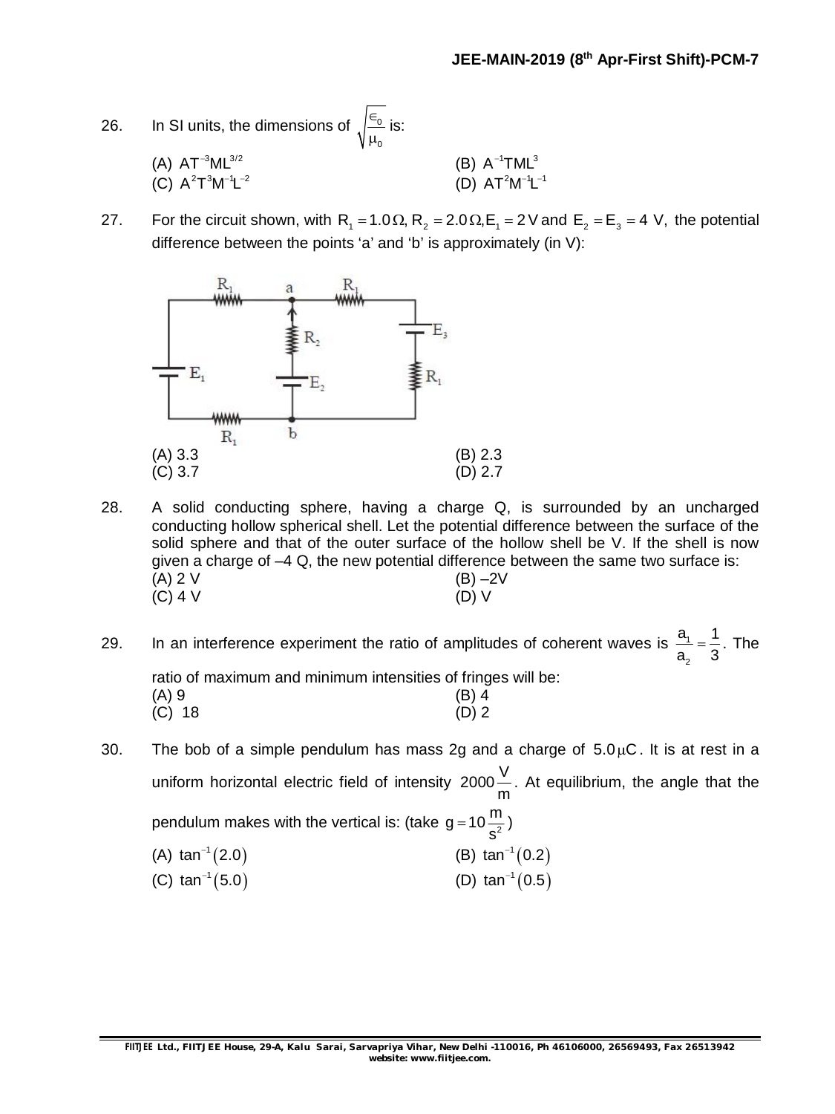| 26. | In SI units, the dimensions of $\sqrt{\frac{\epsilon_0}{\mu_0}}$ is: |                        |
|-----|----------------------------------------------------------------------|------------------------|
|     | (A) $AT^{-3}ML^{3/2}$                                                | (B) $A^{-1}TML^3$      |
|     | (C) $A^2T^3M^{-1}L^{-2}$                                             | (D) $AT^2M^{-1}L^{-1}$ |

27. For the circuit shown, with  $R_1 = 1.0 \Omega$ ,  $R_2 = 2.0 \Omega$ ,  $E_1 = 2 V$  and  $E_2 = E_3 = 4 V$ , the potential difference between the points 'a' and 'b' is approximately (in V):



- 28. A solid conducting sphere, having a charge Q, is surrounded by an uncharged conducting hollow spherical shell. Let the potential difference between the surface of the solid sphere and that of the outer surface of the hollow shell be V. If the shell is now given a charge of –4 Q, the new potential difference between the same two surface is: (A) 2 V (B) –2V (C) 4 V (B) –1  $(C)$  4 V
- 29. In an interference experiment the ratio of amplitudes of coherent waves is  $\frac{a_1}{b_1}$ 2  $a<sub>1</sub>$  1  $a_{2}$  3  $=\frac{1}{2}$ . The ratio of maximum and minimum intensities of fringes will be: (A) 9 (B) 4 (C) 18 (D) 2

30. The bob of a simple pendulum has mass 2g and a charge of  $5.0 \mu C$ . It is at rest in a uniform horizontal electric field of intensity 2000 $\frac{\mathsf{V}}{\mathsf{V}}$ m . At equilibrium, the angle that the pendulum makes with the vertical is: (take g = 10 $\frac{\text{m}}{\text{s}^2}$ s  $=10\frac{11}{2}$ (A)  $tan^{-1}(2.0)$ (B)  $\tan^{-1}(0.2)$ 

(C)  $\tan^{-1}(5.0)$ (D)  $\tan^{-1}(0.5)$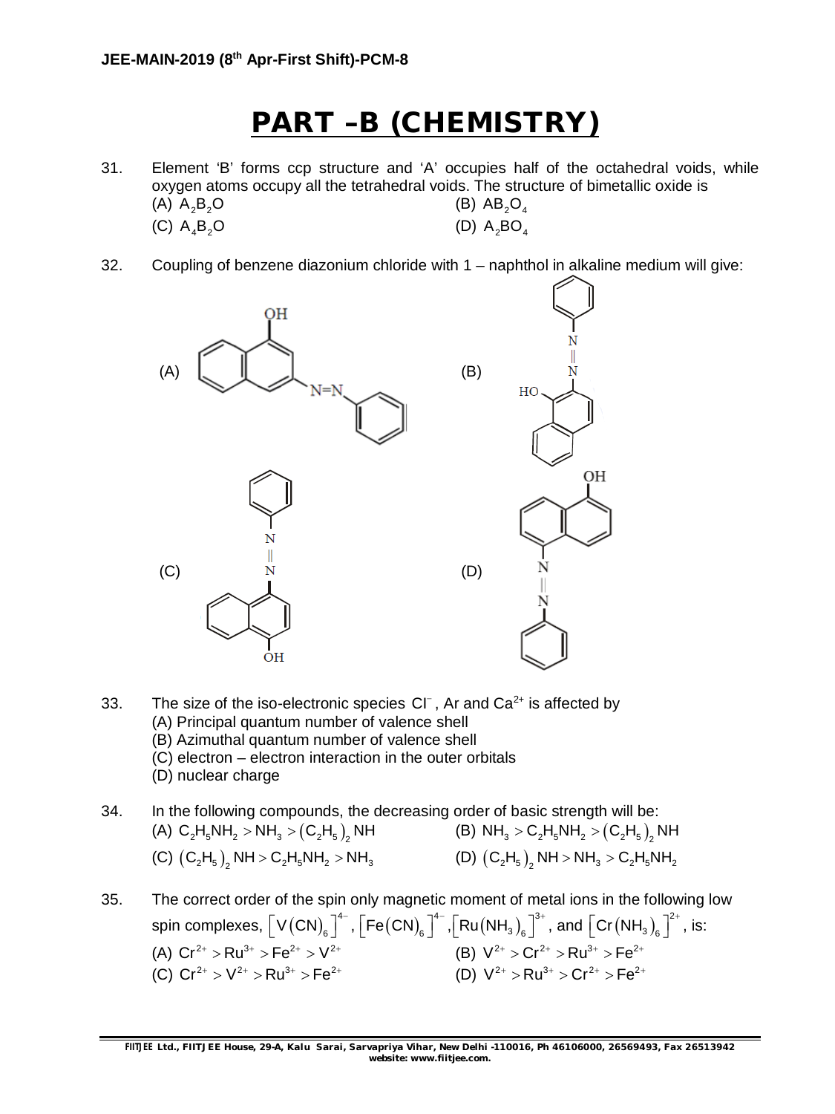## **PART –B (CHEMISTRY)**

- 31. Element 'B' forms ccp structure and 'A' occupies half of the octahedral voids, while oxygen atoms occupy all the tetrahedral voids. The structure of bimetallic oxide is (A)  $A_2B_2O$  (B)  $AB_2O_4$ (C)  $A_4B_2O$  (D)  $A_5BO_4$
- 32. Coupling of benzene diazonium chloride with 1 naphthol in alkaline medium will give:



33. The size of the iso-electronic species  $Cl^-$ , Ar and  $Ca^{2+}$  is affected by (A) Principal quantum number of valence shell (B) Azimuthal quantum number of valence shell (C) electron – electron interaction in the outer orbitals (D) nuclear charge

34. In the following compounds, the decreasing order of basic strength will be: (A)  $C_2H_5NH_2 > NH_3 > (C_2H_5)_2$  NH  $(B)$   $NH_3 > C_2H_5NH_2 > (C_2H_5)_2$ (B)  $NH_3 > C_2H_5NH_2 > (C_2H_5)$ , NH (C)  $(C_2H_5)_2$  NH >  $C_2H_5NH_2$  > NH<sub>3</sub> (D)  $(C_2H_5)_2$  NH > NH<sub>3</sub> >  $C_2H_5NH_2$ (D)  $(C_2H_5)$ , NH > NH<sub>3</sub> >  $C_2H_5NH_2$ 

35. The correct order of the spin only magnetic moment of metal ions in the following low spin complexes,  $\big[$  V  ${\rm (CN)}_6\big]^{4-}$  ,  ${\big[}{\sf Fe(CN)}_6\big]^{4-}$  , ${\big[}{\sf Ru(NH}_3)_6\big]^{3+}$  , and  ${\big[}{\sf Cr(NH}_3)_6\big]^{2-}$  $\left[\text{Cr}\left(\text{NH}_3\right)_6\right]^{2^+}$ , is: (A)  $Cr^{2+} > Ru^{3+} > Fe^{2+} > V^{2+}$ <br>
(C)  $Cr^{2+} > V^{2+} > Ru^{3+} > Fe^{2+}$ <br>
(D)  $V^{2+} > Ru^{3+} > Cr^{2+} > Fe^{2+}$ (C)  $Cr^{2+} > V^{2+} > Ru^{3+} > Fe^{2+}$  (D)  $V^{2+} > Ru^{3+} > Cr^{2+} > Fe^{2+}$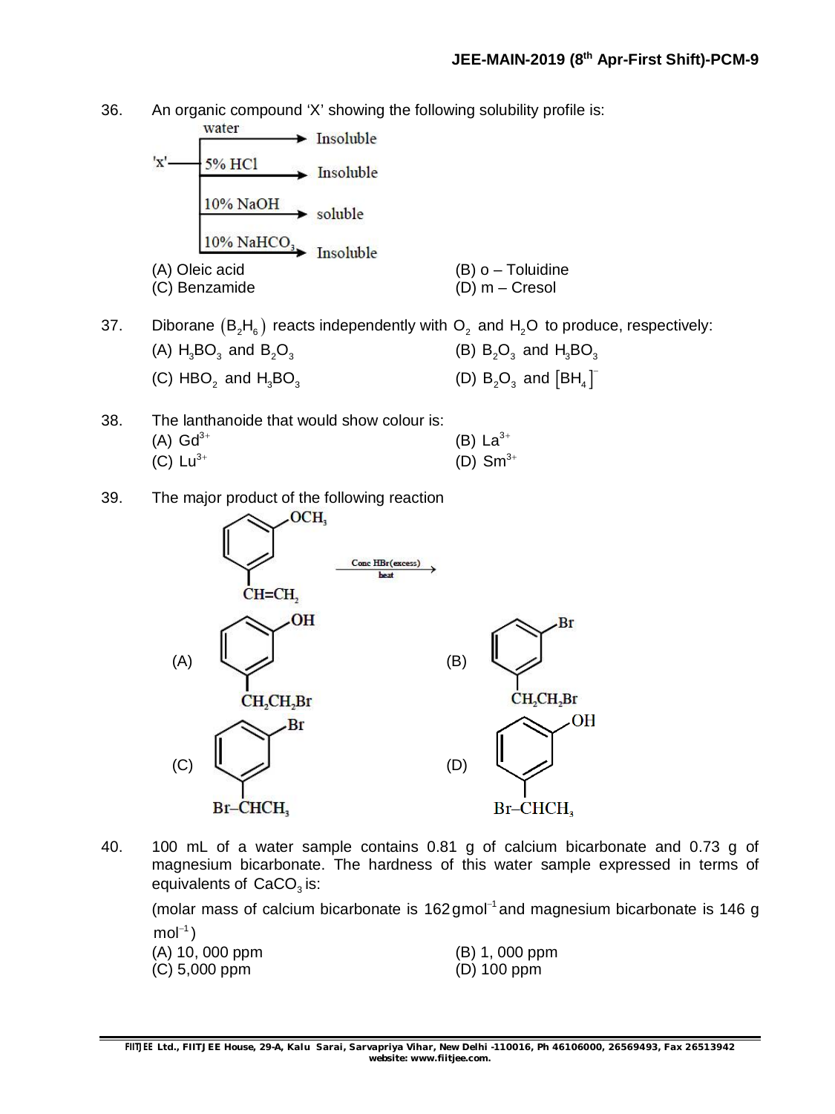36. An organic compound 'X' showing the following solubility profile is:



- 37. Diborane  $(B_2H_6)$  reacts independently with  $O_2$  and  $H_2O$  to produce, respectively: (A)  $H_3BO_3$  and  $B_2O_3$  (B)  $B_2O_3$  and  $H_3BO_3$ (C) HBO<sub>2</sub> and  $H_3BO_3$ and  $H_3BO_3$   $(D)$   $B_2O_3$  and  $[BH_4]^T$
- 38. The lanthanoide that would show colour is:  $(A)$  Gd<sup>3+</sup> (B)  $La^{3+}$ (C)  $Lu^{3+}$ (D)  $Sm^{3+}$
- 39. The major product of the following reaction



40. 100 mL of a water sample contains 0.81 g of calcium bicarbonate and 0.73 g of magnesium bicarbonate. The hardness of this water sample expressed in terms of equivalents of  $\text{CaCO}_3$  is:

(molar mass of calcium bicarbonate is 162 gmol<sup>-1</sup> and magnesium bicarbonate is 146 g  $mol^{-1})$ 

| (A) 10, 000 ppm | (B) 1, 000 ppm |
|-----------------|----------------|
| (C) 5,000 ppm   | $(D)$ 100 ppm  |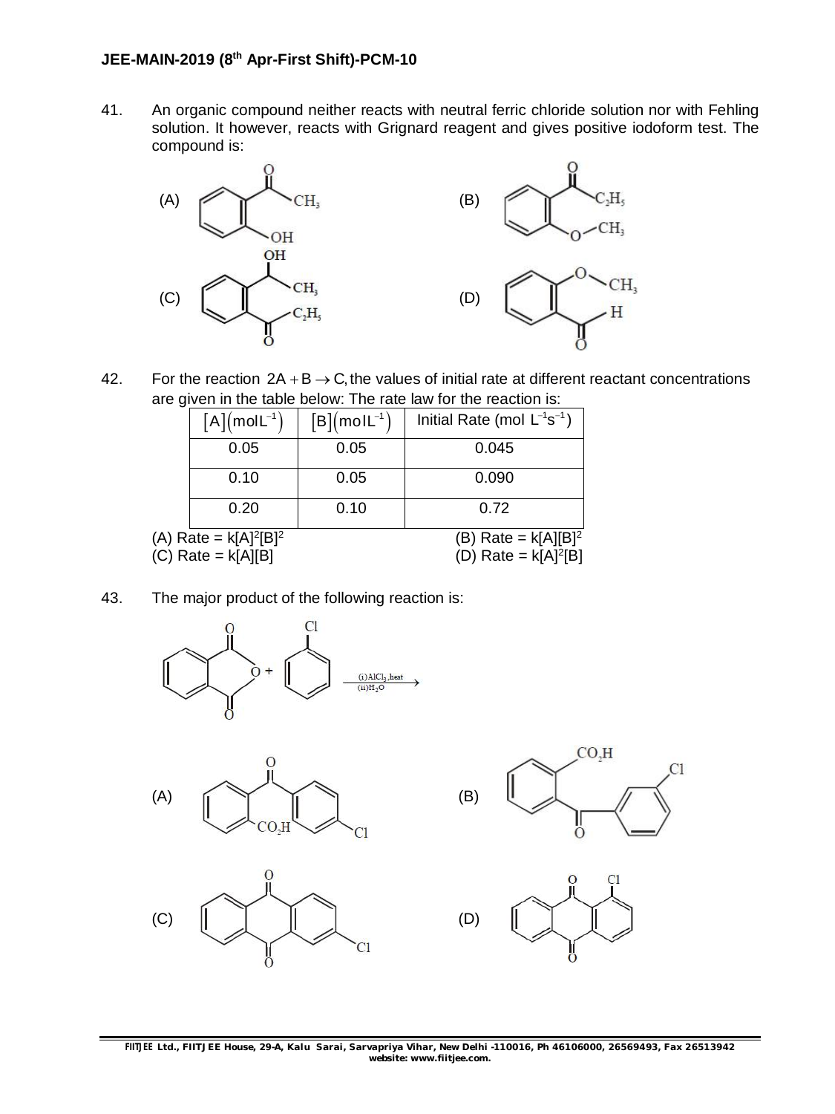41. An organic compound neither reacts with neutral ferric chloride solution nor with Fehling solution. It however, reacts with Grignard reagent and gives positive iodoform test. The compound is:



42. For the reaction  $2A + B \rightarrow C$ , the values of initial rate at different reactant concentrations are given in the table below: The rate law for the reaction is:

|                          | $[A](molL^{-1})$ | $[B](moll^{-1})$       | Initial Rate (mol $L^{-1}s^{-1}$ ) |  |
|--------------------------|------------------|------------------------|------------------------------------|--|
|                          | 0.05             | 0.05                   | 0.045                              |  |
|                          | 0.10             | 0.05                   | 0.090                              |  |
|                          | 0.20             | 0.10                   | 0.72                               |  |
| (A) Rate = $k[A]^2[B]^2$ |                  | (B) Rate = $k[A][B]^2$ |                                    |  |
| $(C)$ Rate = $k[A][B]$   |                  | (D) Rate = $k[A]^2[B]$ |                                    |  |

43. The major product of the following reaction is:







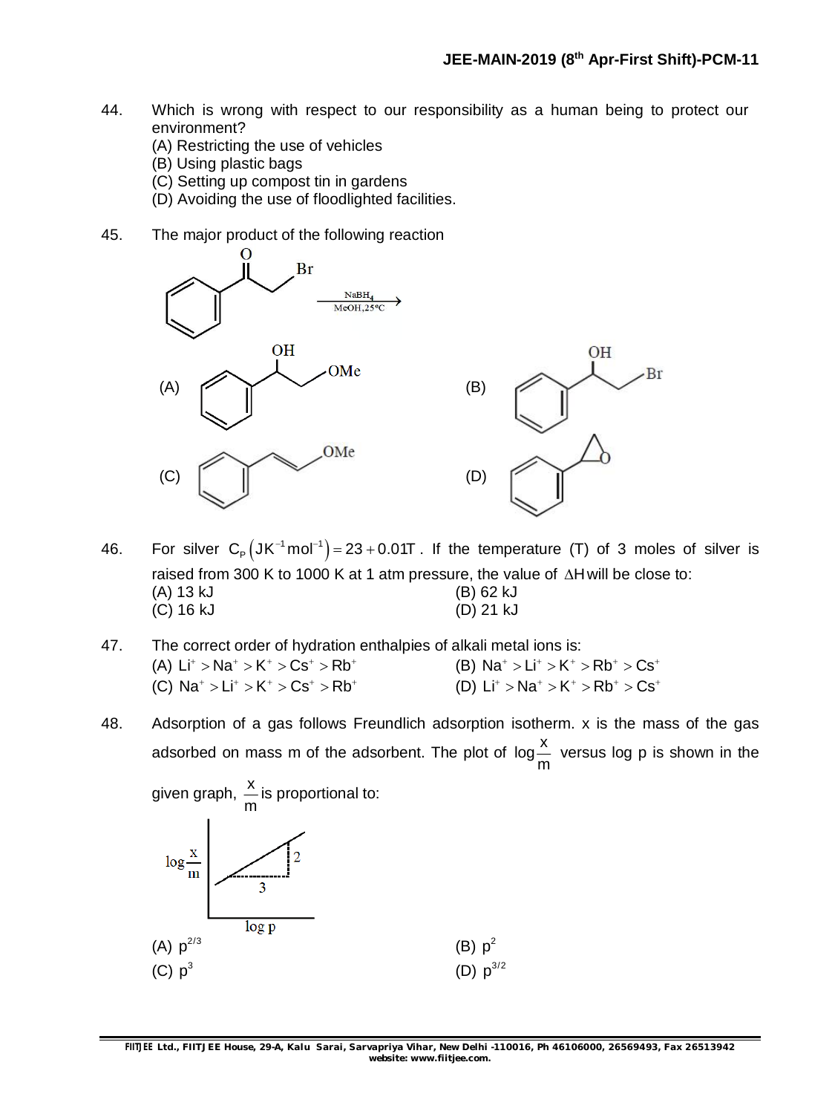- 44. Which is wrong with respect to our responsibility as a human being to protect our environment?
	- (A) Restricting the use of vehicles
	- (B) Using plastic bags
	- (C) Setting up compost tin in gardens
	- (D) Avoiding the use of floodlighted facilities.
- 45. The major product of the following reaction



- 46. For silver  $C_{\text{P}}(JK^{-1} \text{mol}^{-1}) = 23 + 0.01T$ . If the temperature (T) of 3 moles of silver is raised from 300 K to 1000 K at 1 atm pressure, the value of  $\Delta H$  will be close to: (A) 13 kJ (B) 62 kJ (C) 16 kJ (D) 21 kJ
- 47. The correct order of hydration enthalpies of alkali metal ions is: (A)  $Li^+ > Na^+ > K^+ > Cs^+ > Rb^+$  (B)  $Na^+ > Li^+ > K^+ > Rb^+ > Cs^+$ (C)  $Na^+ > Li^+ > K^+ > Cs^+ > Rb^+$  (D)  $Li^+ > Na^+ > K^+ > Rb^+ > Cs^+$
- 48. Adsorption of a gas follows Freundlich adsorption isotherm. x is the mass of the gas adsorbed on mass m of the adsorbent. The plot of  $\log\!{\frac{\text{X}}{1}}$ m versus log p is shown in the

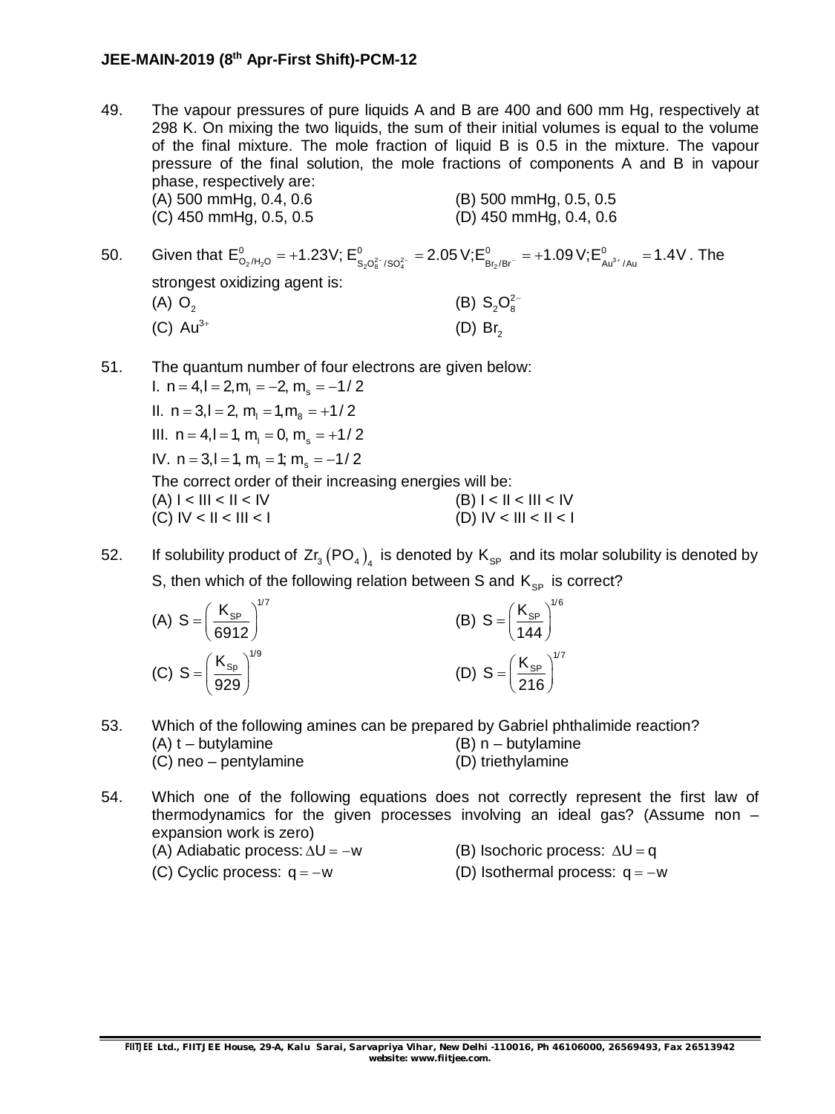#### **JEE-MAIN-2019 (8 th Apr-First Shift)-PCM-12**

49. The vapour pressures of pure liquids A and B are 400 and 600 mm Hg, respectively at 298 K. On mixing the two liquids, the sum of their initial volumes is equal to the volume of the final mixture. The mole fraction of liquid B is 0.5 in the mixture. The vapour pressure of the final solution, the mole fractions of components A and B in vapour phase, respectively are: (A) 500 mmHg, 0.4, 0.6 (B) 500 mmHg, 0.5, 0.5

(C) 450 mmHg, 0.5, 0.5 (D) 450 mmHg, 0.4, 0.6

- 50. Given that  $E^0_{O_2/H_2O}$  = +1.23V;  $E^0_{S_2O_8^{2-}/SO_4^{2-}}$  = 2.05 V; $E^0_{B_{12}/Br^-}$  = +1.09 V; $E^0_{Au^{3+}/Au}$  = 1.4V . The strongest oxidizing agent is:  $(A)$  O<sub>2</sub> (B)  $S_2O_8^{2-}$  $(C)$  Au<sup>3+</sup>  $(D)$  Br<sub>2</sub>
- 51. The quantum number of four electrons are given below:

I.  $n = 4, l = 2, m<sub>l</sub> = -2, m<sub>s</sub> = -1/2$ II.  $n = 3, l = 2, m<sub>l</sub> = 1, m<sub>g</sub> = +1/2$ III.  $n = 4, l = 1, m<sub>l</sub> = 0, m<sub>s</sub> = +1/2$ IV.  $n = 3, l = 1, m = 1; m = -1/2$ The correct order of their increasing energies will be:  $(A) I < II I < IV$  (B)  $I < II < III < IV$ (C)  $|V| < |I| < |I| < |I|$  (D)  $|V| < |I| < |I| < |I|$ 

52. If solubility product of  $Zr_3(PO_4)_4$  is denoted by  $\mathsf{K}_{\textsf{SP}}$  and its molar solubility is denoted by S, then which of the following relation between S and  $K_{SP}$  is correct?

| (A) $S = \left(\frac{K_{SP}}{6912}\right)^{1/7}$ | $\sqrt{1/6}$<br>(B) $S = \left(\frac{K_{SP}}{144}\right)^{1/6}$ |
|--------------------------------------------------|-----------------------------------------------------------------|
| (C) $S = \left(\frac{K_{Sp}}{929}\right)^{1/9}$  | (D) $S = \left(\frac{K_{SP}}{216}\right)^{11}$                  |

- 53. Which of the following amines can be prepared by Gabriel phthalimide reaction? (A) t – butylamine (B) n – butylamine (C) neo – pentylamine (D) triethylamine
- 54. Which one of the following equations does not correctly represent the first law of thermodynamics for the given processes involving an ideal gas? (Assume non – expansion work is zero) (A) Adiabatic process:  $\Delta U = -w$  (B) Isochoric process:  $\Delta U = q$

(C) Cyclic process:  $q = -w$  (D) Isothermal process:  $q = -w$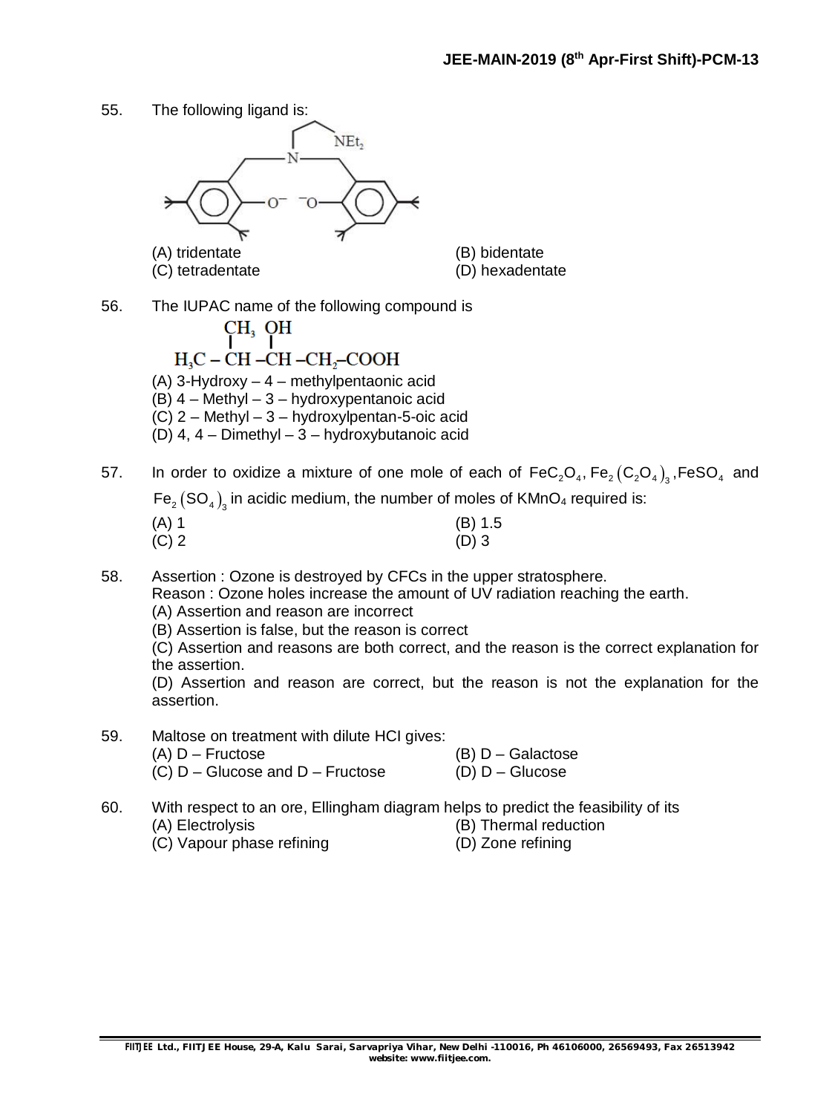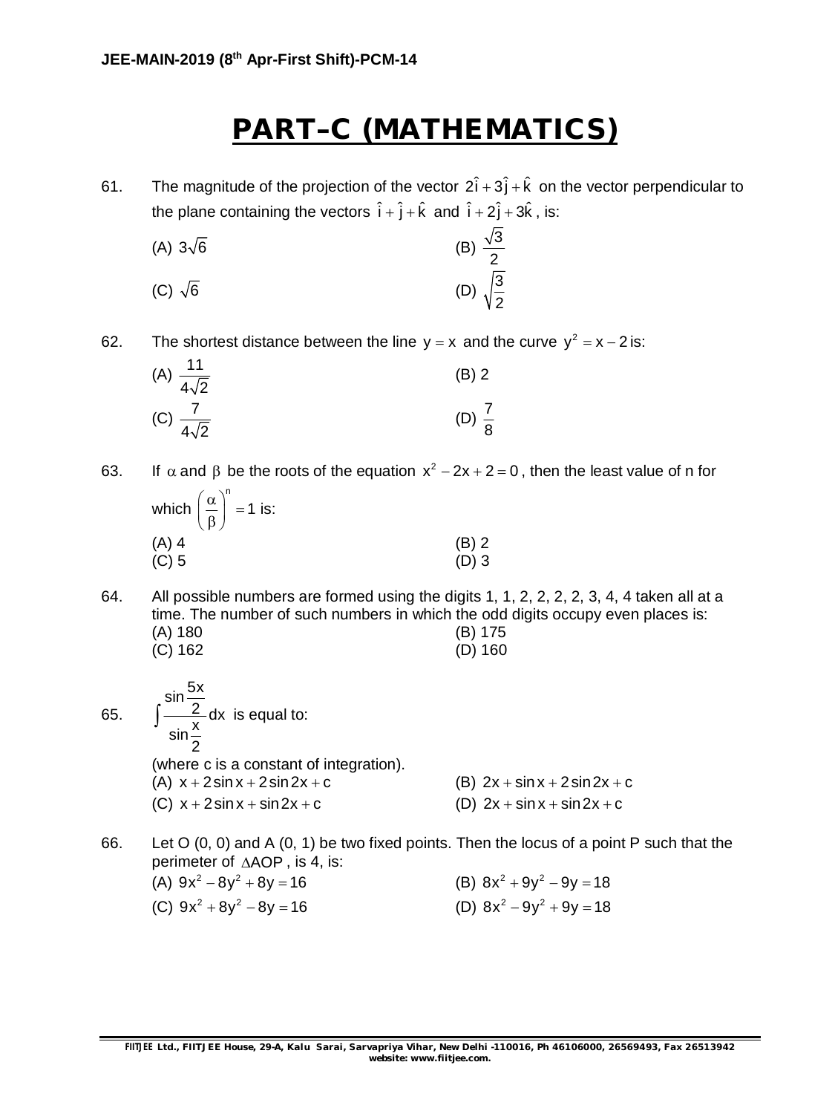## **PART–C (MATHEMATICS)**

61. The magnitude of the projection of the vector  $2\hat{i} + 3\hat{j} + \hat{k}$  on the vector perpendicular to the plane containing the vectors  $\hat{i} + \hat{j} + \hat{k}$  and  $\hat{i} + 2\hat{j} + 3\hat{k}$ , is:

(A) 
$$
3\sqrt{6}
$$
 (B)  $\frac{\sqrt{3}}{2}$   
(C)  $\sqrt{6}$  (D)  $\sqrt{\frac{3}{2}}$ 

62. The shortest distance between the line  $y = x$  and the curve  $y^2 = x - 2$  is:

| $-11$<br>(A) $\frac{11}{4\sqrt{2}}$ | $(B)$ 2           |  |
|-------------------------------------|-------------------|--|
| (C) $\frac{7}{4\sqrt{2}}$           | (D) $\frac{7}{8}$ |  |

63. If  $\alpha$  and  $\beta$  be the roots of the equation  $x^2 - 2x + 2 = 0$ , then the least value of n for which n  $\left(\frac{\alpha}{\beta}\right)^n = 1$  is:

| $(\beta)$ |         |
|-----------|---------|
| (A) 4     | $(B)$ 2 |
| $(C)$ 5   | $(D)$ 3 |

64. All possible numbers are formed using the digits 1, 1, 2, 2, 2, 2, 3, 4, 4 taken all at a time. The number of such numbers in which the odd digits occupy even places is: (A) 180 (B) 175 (C) 162 (D) 160

65. 
$$
\int \frac{\sin \frac{5x}{2}}{\sin \frac{x}{2}} dx \text{ is equal to:}
$$
  
\n(where c is a constant of integration).  
\n(A)  $x + 2\sin x + 2\sin 2x + c$   
\n(B)  $2x + \sin x + 2\sin 2x + c$   
\n(C)  $x + 2\sin x + \sin 2x + c$   
\n(D)  $2x + \sin x + \sin 2x + c$ 

66. Let O (0, 0) and A (0, 1) be two fixed points. Then the locus of a point P such that the perimeter of  $\triangle AOP$ , is 4, is:

| (A) $9x^2 - 8y^2 + 8y = 16$ | (B) $8x^2 + 9y^2 - 9y = 18$ |
|-----------------------------|-----------------------------|
| (C) $9x^2 + 8y^2 - 8y = 16$ | (D) $8x^2 - 9y^2 + 9y = 18$ |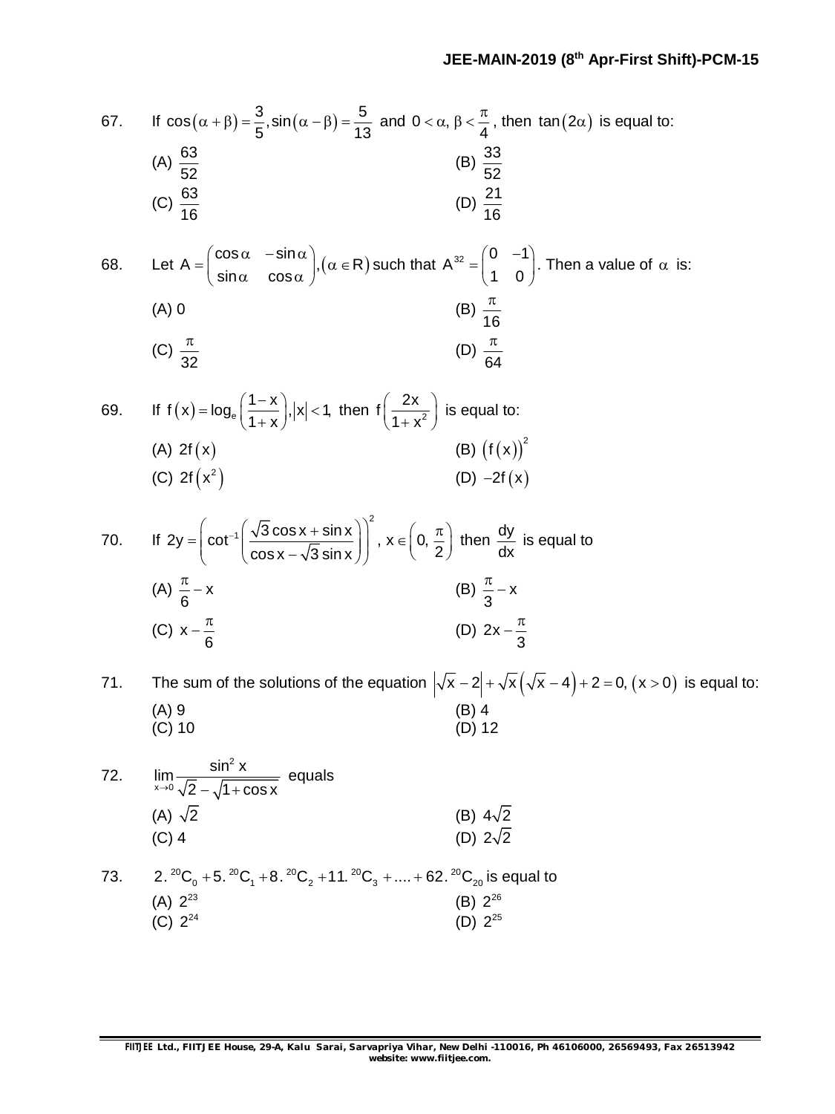67. If 
$$
\cos(\alpha + \beta) = \frac{3}{5} \sin(\alpha - \beta) = \frac{5}{13}
$$
 and  $0 < \alpha, \beta < \frac{\pi}{4}$ , then  $\tan(2\alpha)$  is equal to:  
\n(A)  $\frac{63}{52}$   
\n(C)  $\frac{63}{16}$   
\n(D)  $\frac{21}{16}$   
\n68. Let  $A = \begin{pmatrix} \cos \alpha & -\sin \alpha \\ \sin \alpha & \cos \alpha \end{pmatrix}$ ,  $(\alpha \in \mathbb{R})$  such that  $A^{\frac{32}{2}} = \begin{pmatrix} 0 & -1 \\ 1 & 0 \end{pmatrix}$ . Then a value of  $\alpha$  is:  
\n(A) 0  
\n(B)  $\frac{\pi}{16}$   
\n(C)  $\frac{\pi}{32}$   
\n(D)  $\frac{\pi}{64}$   
\n59. If  $f(x) = \log_e(\frac{1-x}{1+x})$ ,  $|x| < 1$ , then  $f(\frac{2x}{1+x^2})$  is equal to:  
\n(A)  $2f(x)$   
\n(B)  $(f(x))^2$   
\n(C)  $2f(x^2)$   
\n(D)  $-2f(x)$   
\n70. If  $2y = \left(\cot^{-1}(\frac{\sqrt{3}\cos x + \sin x}{\cos x - \sqrt{3}\sin x})\right)^2$ ,  $x \in \left(0, \frac{\pi}{2}\right)$  then  $\frac{dy}{dx}$  is equal to  
\n(A)  $\frac{\pi}{6} - x$   
\n(B)  $\frac{\pi}{3} - x$   
\n(C)  $x - \frac{\pi}{6}$   
\n(D)  $2x - \frac{\pi}{3}$   
\n31. The sum of the solutions of the equation  $|\sqrt{x} - 2| + \sqrt{x}(\sqrt{x} - 4) + 2 = 0$ ,  $(x > 0)$  is equal to:  
\n(A) 9  
\n(C) 10  
\n72.  $\lim_{x \to \infty} \frac{\sin^2 x}{\sqrt{2} - \sqrt{1 + \cos x}}$  equals  
\n(A)  $\sqrt{2}$   
\n(B) 4  
\n(C) 4  
\n(D) 22  
\n33.  $2.^{20}C_0 +$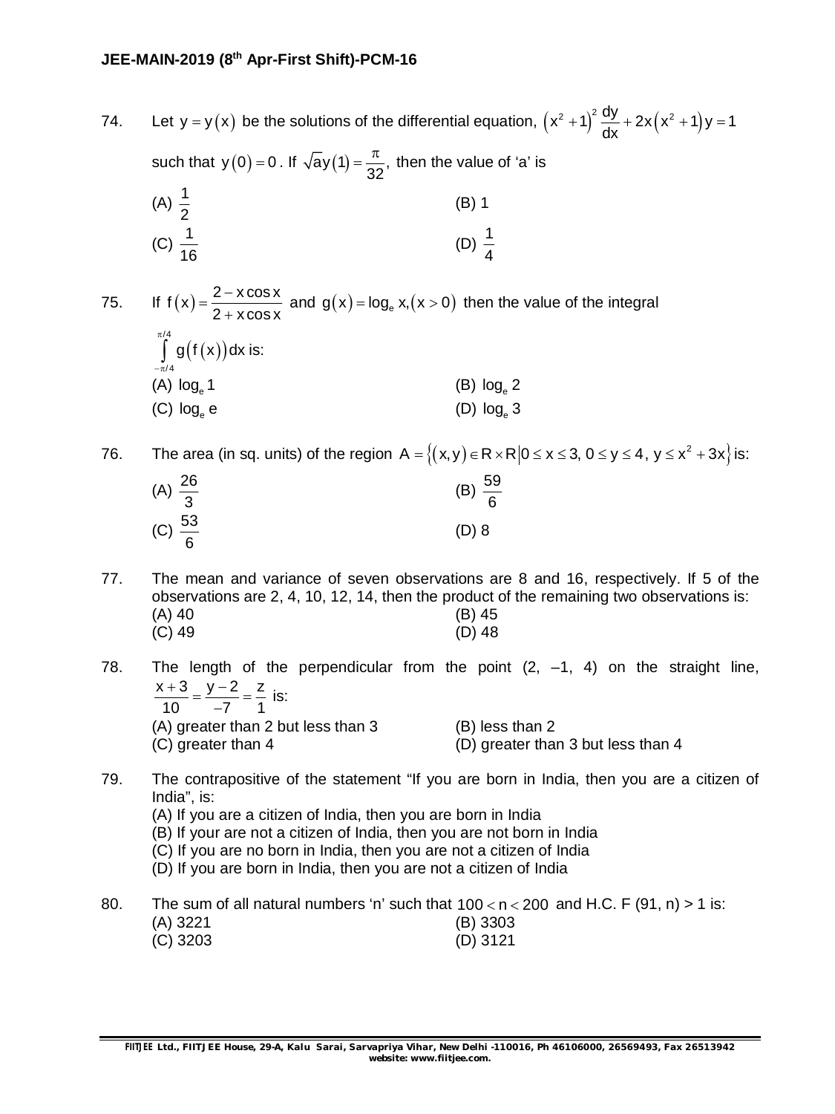### **JEE-MAIN-2019 (8 th Apr-First Shift)-PCM-16**

74. Let y = y(x) be the solutions of the differential equation,  $(x^2 + 1)^2 \frac{dy}{dx} + 2x(x^2 + 1)y = 1$ dx  $+1\left(-\frac{3y}{2}+2x(x^2+1)y\right)=1$ such that  $y(0) = 0$  . If  $\sqrt{ay(1)} = \frac{\pi}{32}$ ,  $\frac{\pi}{32}$  $t=\frac{\pi}{22}$ , then the value of 'a' is (A)  $\frac{1}{2}$ 2 (B) 1 (C)  $\frac{1}{16}$ 16 (D)  $\frac{1}{1}$ 4 75. If  $f(x) = \frac{2 - x \cos x}{2 - x \cos x}$  $2 + x \cos x$  $=\frac{2-}{2}$  $\frac{x \cos x}{x + x \cos x}$  and  $g(x) = \log_e x, (x > 0)$  then the value of the integral  $(f(x))$ /4 /4  $g(f(x))dx$  $\pi$  $-\pi$  $\int$  g(f(x))dx is:  $(A)$  log 1  $log_e 1$  (B)  $log_e 2$  $(C)$  log<sub>e</sub> e  $log_e e$  (D)  $log_e 3$ 76. The area (in sq. units) of the region  $A = \{(x,y) \in R \times R | 0 \le x \le 3, 0 \le y \le 4, y \le x^2 + 3x \}$  is:  $(A) \frac{26}{9}$ 3 (B)  $\frac{59}{9}$ 6 (C)  $\frac{53}{6}$ 6 (D) 8

- 77. The mean and variance of seven observations are 8 and 16, respectively. If 5 of the observations are 2, 4, 10, 12, 14, then the product of the remaining two observations is: (A) 40 (B) 45 (C) 49 (D) 48
- 78. The length of the perpendicular from the point  $(2, -1, 4)$  on the straight line,  $x+3$   $y-2$  z 10  $-7$  1  $\frac{+3}{12} = \frac{y-2}{7} = \frac{1}{7}$  $\overline{a}$ is: (A) greater than 2 but less than 3 (B) less than 2 (C) greater than 4 (D) greater than 3 but less than 4
- 79. The contrapositive of the statement "If you are born in India, then you are a citizen of India", is:
	- (A) If you are a citizen of India, then you are born in India
	- (B) If your are not a citizen of India, then you are not born in India
	- (C) If you are no born in India, then you are not a citizen of India
	- (D) If you are born in India, then you are not a citizen of India
- 80. The sum of all natural numbers 'n' such that  $100 < n < 200$  and H.C. F (91, n) > 1 is: (A) 3221 (B) 3303 (C) 3203 (D) 3121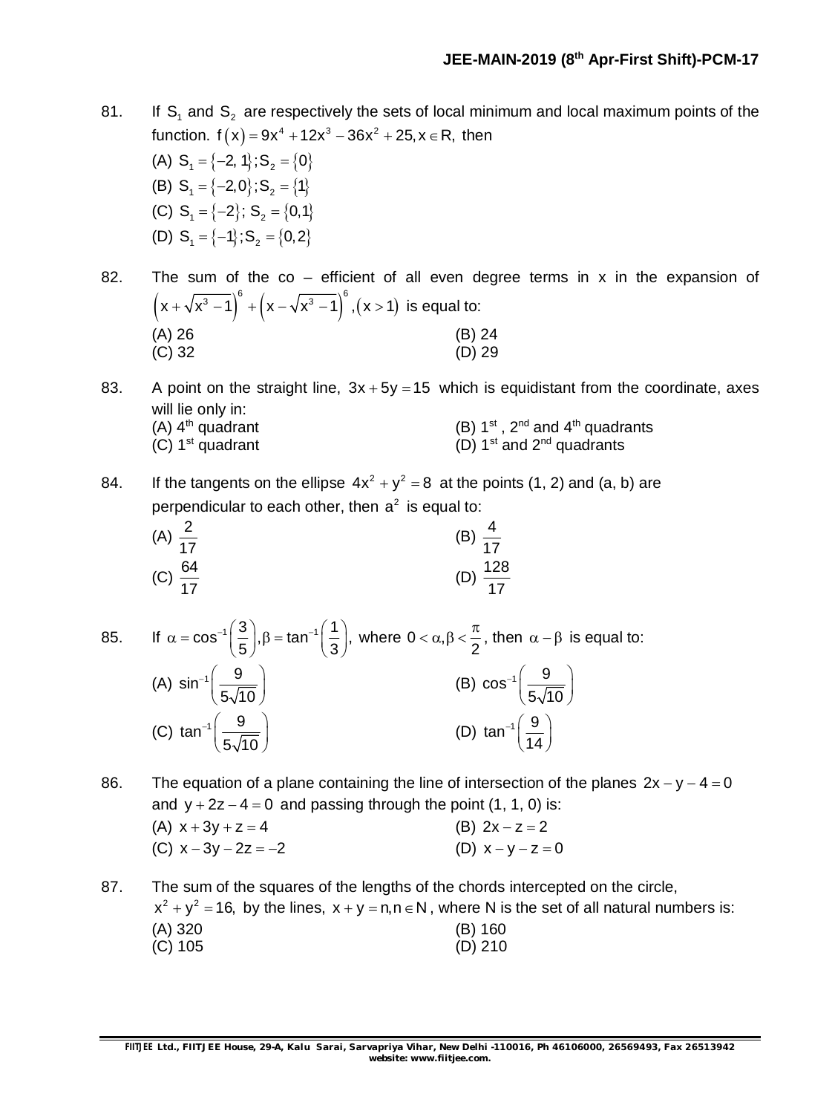81. If  $S_1$  and  $S_2$  are respectively the sets of local minimum and local maximum points of the function.  $f(x) = 9x^4 + 12x^3 - 36x^2 + 25, x \in R$ , then

(A)  $S_1 = \{-2, 1\}$ ;  $S_2 = \{0\}$ (B)  $S_1 = \{-2, 0\}$ ;  $S_2 = \{1\}$ (C)  $S_1 = \{-2\}$ ;  $S_2 = \{0,1\}$ (D)  $S_1 = \{-1\}$ ;  $S_2 = \{0, 2\}$ 

82. The sum of the co – efficient of all even degree terms in x in the expansion of  $(x+\sqrt{x^3-1})^6 + (x-\sqrt{x^3-1})^6$ ,  $(x>1)$  is equal to: (A) 26 (B) 24  $(C)$  32 (D) 29

83. A point on the straight line,  $3x + 5y = 15$  which is equidistant from the coordinate, axes will lie only in:<br>(A)  $4<sup>th</sup>$  quadrant (A)  $4^{\text{th}}$  quadrant (B) 1<sup>st</sup>, 2<sup>nd</sup> and  $4^{\text{th}}$  quadrants (C)  $1^{st}$  quadrant (D)  $1^{st}$  and  $2^{nd}$  quadrants

84. If the tangents on the ellipse  $4x^2 + y^2 = 8$  at the points (1, 2) and (a, b) are perpendicular to each other, then  $a^2$  is equal to:

(A) 
$$
\frac{2}{17}
$$
  
\n(B)  $\frac{4}{17}$   
\n(C)  $\frac{64}{17}$   
\n(D)  $\frac{128}{17}$ 

85. If 
$$
\alpha = \cos^{-1}\left(\frac{3}{5}\right)
$$
,  $\beta = \tan^{-1}\left(\frac{1}{3}\right)$ , where  $0 < \alpha, \beta < \frac{\pi}{2}$ , then  $\alpha - \beta$  is equal to:  
\n(A)  $\sin^{-1}\left(\frac{9}{5\sqrt{10}}\right)$   
\n(B)  $\cos^{-1}\left(\frac{9}{5\sqrt{10}}\right)$   
\n(C)  $\tan^{-1}\left(\frac{9}{5\sqrt{10}}\right)$   
\n(D)  $\tan^{-1}\left(\frac{9}{14}\right)$ 

86. The equation of a plane containing the line of intersection of the planes  $2x - y - 4 = 0$ and  $y + 2z - 4 = 0$  and passing through the point (1, 1, 0) is: (A)  $x + 3y + z = 4$  (B)  $2x - z = 2$ (C)  $x - 3y - 2z = -2$  (D)  $x - y - z = 0$ 

87. The sum of the squares of the lengths of the chords intercepted on the circle,  $x^{2} + y^{2} = 16$ , by the lines,  $x + y = n, n \in N$ , where N is the set of all natural numbers is: (A) 320 (B) 160 (C) 105 (D) 210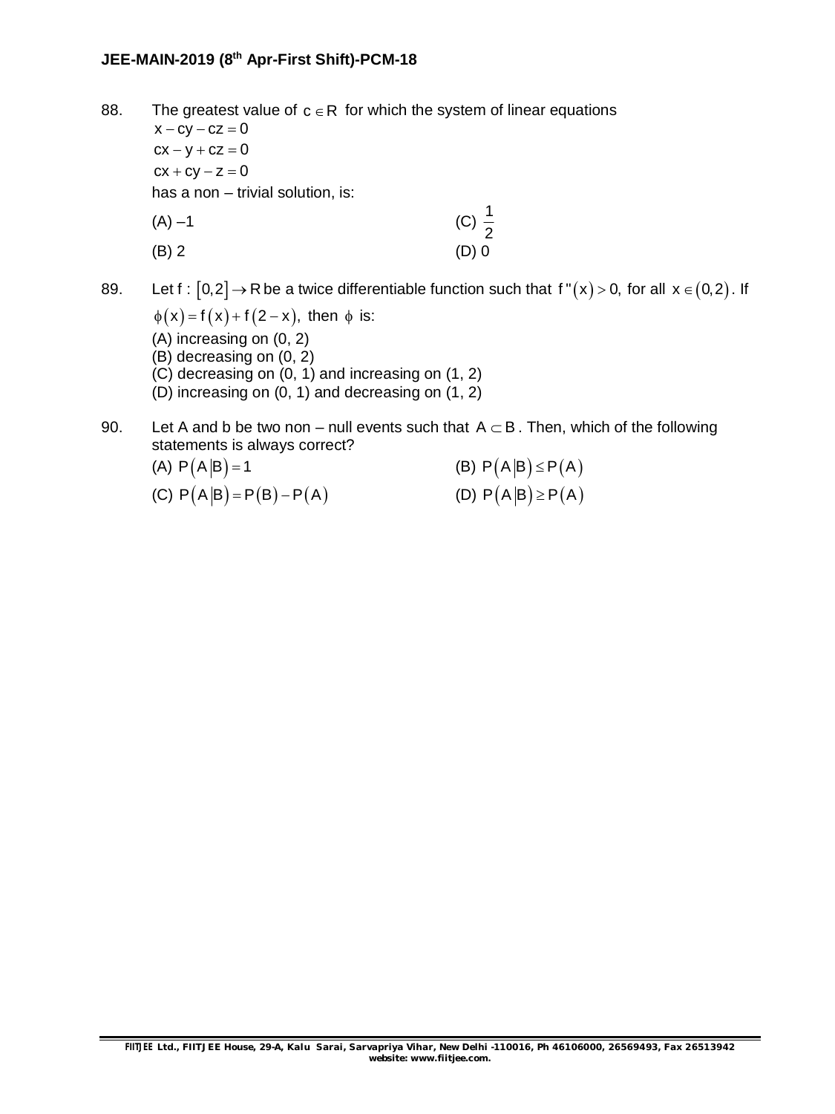88. The greatest value of  $c \in R$  for which the system of linear equations  $x - cy - cz = 0$  $cx - y + cz = 0$  $cx + cy - z = 0$ has a non – trivial solution, is: (A) –1 (C)  $\frac{1}{2}$ 2 (B) 2 (D) 0

89. Let  $f : [0,2] \to \mathbb{R}$  be a twice differentiable function such that  $f''(x) > 0$ , for all  $x \in (0,2)$ . If

 $\phi(x) = f(x) + f(2-x)$ , then  $\phi$  is: (A) increasing on (0, 2) (B) decreasing on (0, 2) (C) decreasing on (0, 1) and increasing on (1, 2) (D) increasing on (0, 1) and decreasing on (1, 2)

90. Let A and b be two non – null events such that  $A \subset B$ . Then, which of the following statements is always correct?

(A) 
$$
P(A|B) = 1
$$
  
\n(B)  $P(A|B) \le P(A)$   
\n(C)  $P(A|B) = P(B) - P(A)$   
\n(D)  $P(A|B) \ge P(A)$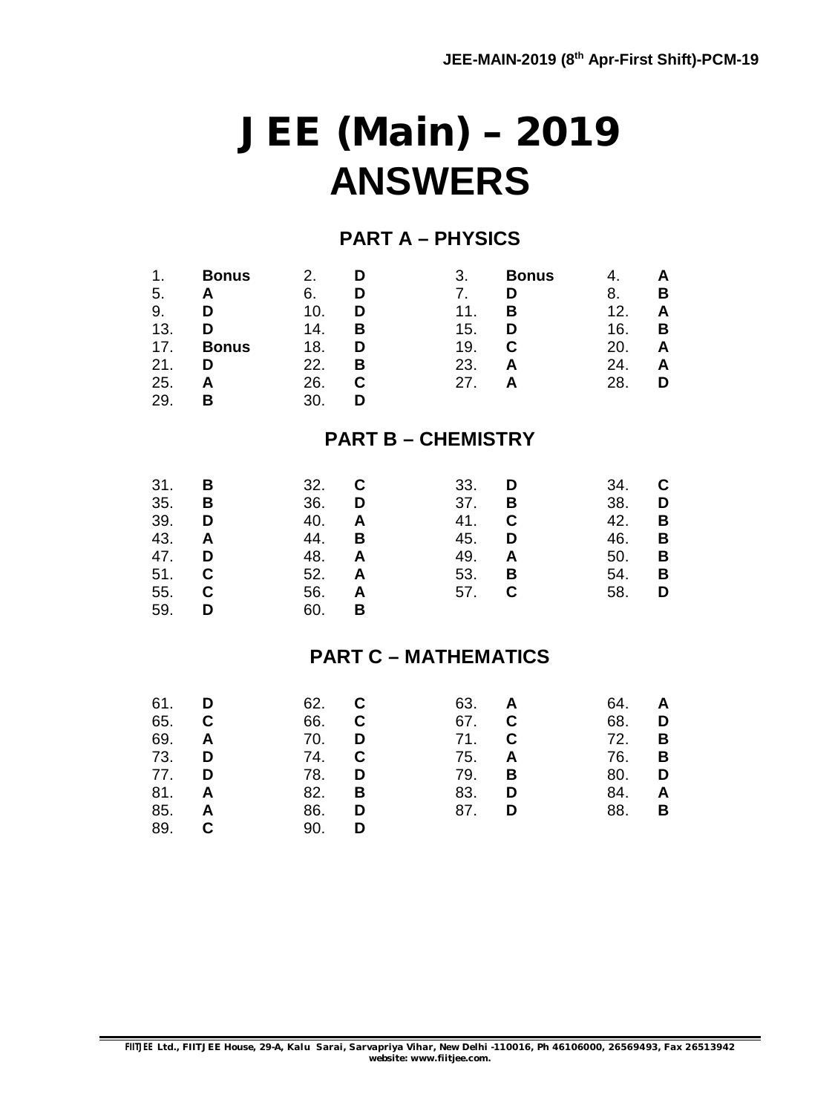# **JEE (Main) – 2019 ANSWERS**

### **PART A – PHYSICS**

| 1.<br>5.<br>9.<br>13.<br>17.<br>21.<br>25.<br>29.    | <b>Bonus</b><br>A<br>D<br>D<br><b>Bonus</b><br>D<br>A<br>B | 2.<br>6.<br>10.<br>14.<br>18.<br>22.<br>26.<br>30.   | D<br>D<br>D<br>В<br>D<br>B<br>$\mathbf C$<br>D | 3.<br>7.<br>11.<br>15.<br>19.<br>23.<br>27.   | <b>Bonus</b><br>D<br>B<br>D<br>$\mathbf C$<br>A<br>A | 4.<br>8.<br>12.<br>16.<br>20.<br>24.<br>28.   | A<br>В<br>Α<br>B<br>A<br>A<br>D |
|------------------------------------------------------|------------------------------------------------------------|------------------------------------------------------|------------------------------------------------|-----------------------------------------------|------------------------------------------------------|-----------------------------------------------|---------------------------------|
|                                                      |                                                            |                                                      |                                                | <b>PART B - CHEMISTRY</b>                     |                                                      |                                               |                                 |
| 31.<br>35.<br>39.<br>43.<br>47.<br>51.<br>55.<br>59. | B<br>В<br>D<br>A<br>D<br>C<br>C<br>D                       | 32.<br>36.<br>40.<br>44.<br>48.<br>52.<br>56.<br>60. | C<br>D<br>A<br>B<br>A<br>A<br>A<br>В           | 33.<br>37.<br>41.<br>45.<br>49.<br>53.<br>57. | D<br>В<br>C<br>D<br>A<br>В<br>C                      | 34.<br>38.<br>42.<br>46.<br>50.<br>54.<br>58. | С<br>D<br>В<br>B<br>В<br>B<br>D |
|                                                      |                                                            |                                                      |                                                | <b>PART C - MATHEMATICS</b>                   |                                                      |                                               |                                 |
| 61.<br>65.<br>69.<br>73.<br>77.<br>81.<br>85.<br>89. | D<br>C<br>A<br>D<br>D<br>A<br>A<br>C                       | 62.<br>66.<br>70.<br>74.<br>78.<br>82.<br>86.<br>90. | C<br>C<br>D<br>$\mathbf C$<br>D<br>B<br>D<br>D | 63.<br>67.<br>71.<br>75.<br>79.<br>83.<br>87. | A<br>C<br>C<br>A<br>B<br>D<br>D                      | 64.<br>68.<br>72.<br>76.<br>80.<br>84.<br>88. | A<br>D<br>В<br>B<br>D<br>A<br>В |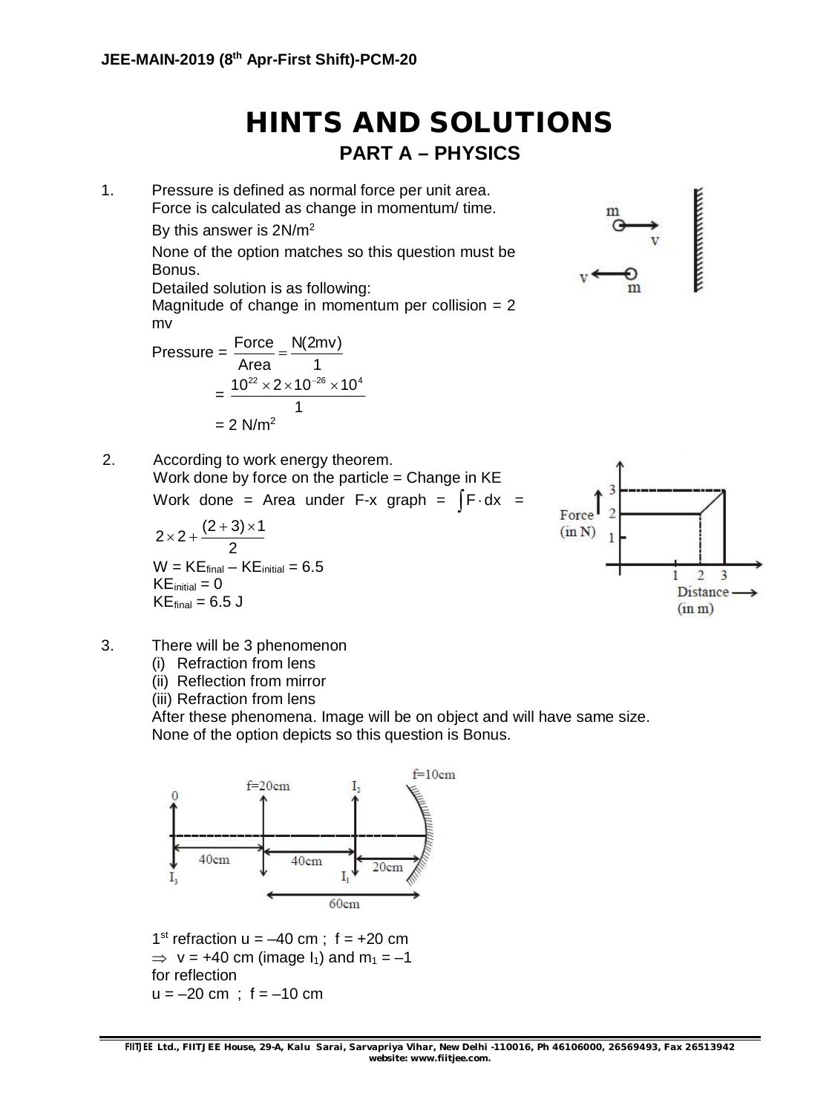### **HINTS AND SOLUTIONS PART A – PHYSICS**

1. Pressure is defined as normal force per unit area. Force is calculated as change in momentum/ time. By this answer is 2N/m<sup>2</sup> None of the option matches so this question must be Bonus. Detailed solution is as following: Magnitude of change in momentum per collision  $= 2$ mv

$$
Pressure = \frac{Force}{Area} = \frac{N(2mv)}{1}
$$

$$
= \frac{10^{22} \times 2 \times 10^{-26} \times 10^{4}}{1}
$$

$$
= 2 N/m^{2}
$$



2. According to work energy theorem. Work done by force on the particle  $=$  Change in KE Work done = Area under F-x graph =  $\int$ F $\cdot$ dx =

$$
2 \times 2 + \frac{(2+3) \times 1}{2}
$$
  
W = KE<sub>final</sub> - KE<sub>initial</sub> = 6.5  
KE<sub>initial</sub> = 0  
KE<sub>final</sub> = 6.5 J



- 3. There will be 3 phenomenon
	- (i) Refraction from lens
	- (ii) Reflection from mirror
	- (iii) Refraction from lens

After these phenomena. Image will be on object and will have same size. None of the option depicts so this question is Bonus.



1<sup>st</sup> refraction  $u = -40$  cm;  $f = +20$  cm  $\Rightarrow$  v = +40 cm (image I<sub>1</sub>) and m<sub>1</sub> = -1 for reflection  $u = -20$  cm ;  $f = -10$  cm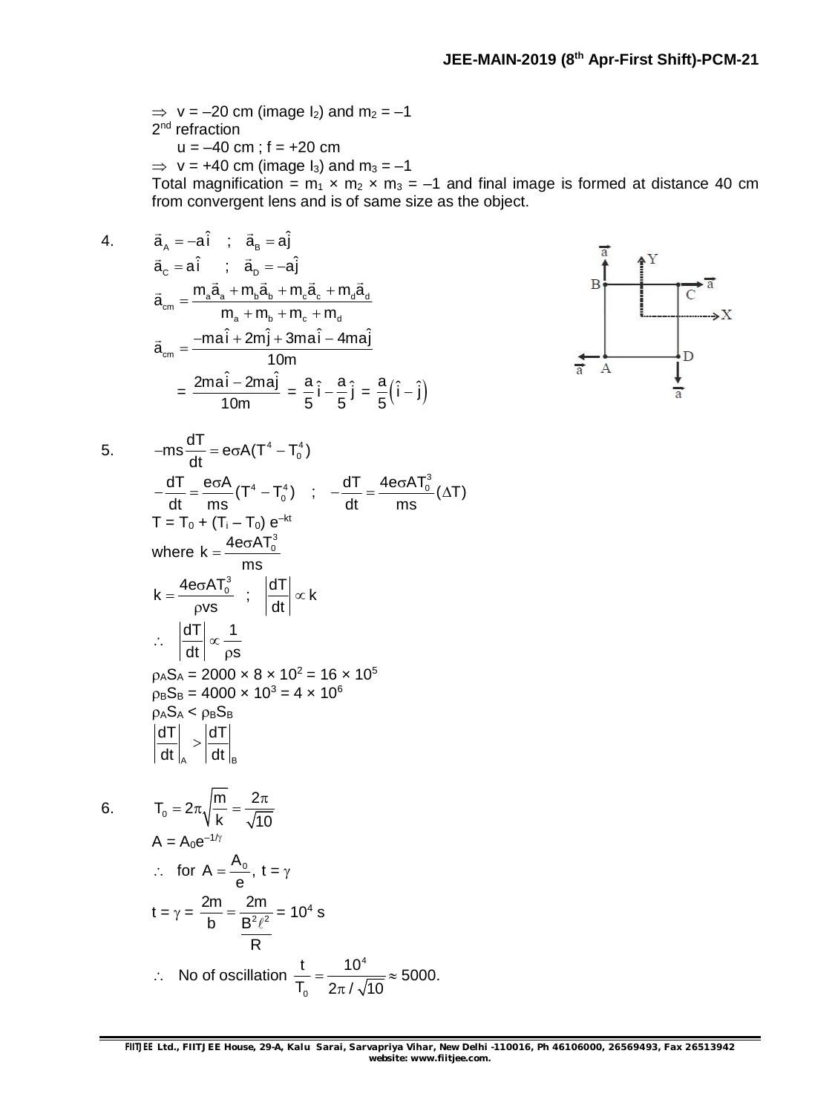$\Rightarrow$  v = -20 cm (image I<sub>2</sub>) and m<sub>2</sub> = -1 2<sup>nd</sup> refraction  $u = -40$  cm;  $f = +20$  cm  $\Rightarrow$  v = +40 cm (image I<sub>3</sub>) and m<sub>3</sub> = -1 Total magnification =  $m_1 \times m_2 \times m_3 = -1$  and final image is formed at distance 40 cm from convergent lens and is of same size as the object.

4. 
$$
\vec{a}_A = -a\hat{i}
$$
;  $\vec{a}_B = a\hat{j}$ 

$$
\vec{a}_{c} = a\hat{i} \quad ; \quad \vec{a}_{p} = -a\hat{j}
$$
\n
$$
\vec{a}_{cm} = \frac{m_{a}\vec{a}_{a} + m_{b}\vec{a}_{b} + m_{c}\vec{a}_{c} + m_{d}\vec{a}_{d}}{m_{a} + m_{b} + m_{c} + m_{d}}
$$
\n
$$
\vec{a}_{cm} = \frac{-ma\hat{i} + 2m\hat{j} + 3ma\hat{i} - 4ma\hat{j}}{10m}
$$
\n
$$
= \frac{2ma\hat{i} - 2ma\hat{j}}{10m} = \frac{a}{5}\hat{i} - \frac{a}{5}\hat{j} = \frac{a}{5}(\hat{i} - \hat{j})
$$



6.

5. 
$$
-ms\frac{dT}{dt} = e\sigma A(T^4 - T_0^4)
$$
  
\n
$$
-\frac{dT}{dt} = \frac{e\sigma A}{ms}(T^4 - T_0^4) \quad ; \quad -\frac{dT}{dt} = \frac{4e\sigma AT_0^3}{ms}(\Delta T)
$$
  
\n
$$
T = T_0 + (T_1 - T_0) e^{-kt}
$$
  
\nwhere  $k = \frac{4e\sigma AT_0^3}{ms}$   
\n
$$
k = \frac{4e\sigma AT_0^3}{\rho vs} \quad ; \quad \left|\frac{dT}{dt}\right| \propto k
$$
  
\n
$$
\therefore \quad \left|\frac{dT}{dt}\right| \propto \frac{1}{\rho s}
$$
  
\n
$$
\rho_A S_A = 2000 \times 8 \times 10^2 = 16 \times 10^5
$$
  
\n
$$
\rho_B S_B = 4000 \times 10^3 = 4 \times 10^6
$$
  
\n
$$
\rho_A S_A < \rho_B S_B
$$
  
\n
$$
\left|\frac{dT}{dt}\right|_A > \left|\frac{dT}{dt}\right|_B
$$

$$
T_0 = 2\pi \sqrt{\frac{m}{k}} = \frac{2\pi}{\sqrt{10}}
$$
  
A = A<sub>0</sub>e<sup>-1/ $\gamma$</sup>   

$$
\therefore \text{ for } A = \frac{A_0}{e}, t = \gamma
$$
  

$$
t = \gamma = \frac{2m}{b} = \frac{2m}{\frac{B^2 \ell^2}{R}} = 10^4 \text{ s}
$$
  

$$
\therefore \text{ No of oscillation } \frac{t}{T_0} = \frac{10^4}{2\pi/\sqrt{10}} \approx 5000.
$$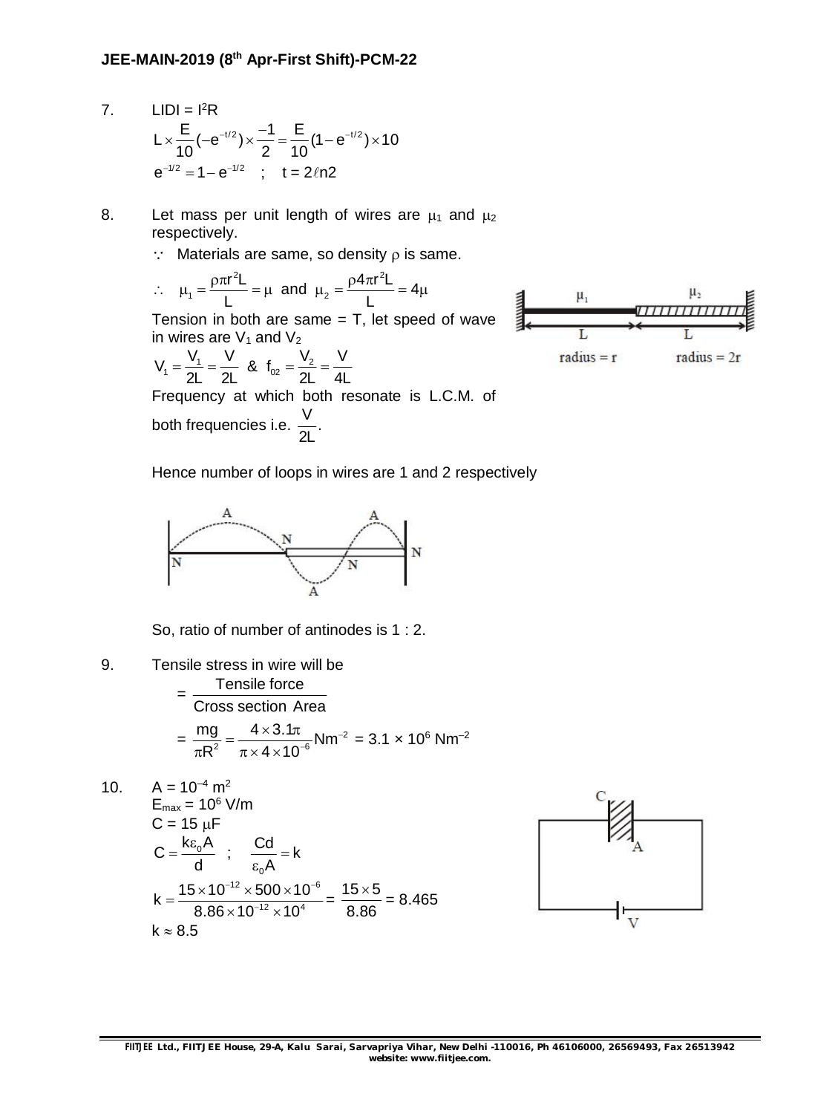- 7.  $LIDI = I<sup>2</sup>R$  $L \times \frac{E}{10} (-e^{-t/2}) \times \frac{-1}{0} = \frac{E}{10} (1 - e^{-t/2}) \times 10$  $10'$   $2$  10  $\times \frac{E}{10}(-e^{-t/2}) \times \frac{-1}{0} = \frac{E}{10} (1-e^{-t/2}) \times 1$  $e^{-t/2} = 1 - e^{-t/2}$  ; t = 2 $\ln 2$
- 8. Let mass per unit length of wires are  $\mu_1$  and  $\mu_2$ respectively.
	- $\therefore$  Materials are same, so density  $\rho$  is same.

 $\mathcal{L}_{\bullet}$ <sup>2</sup> $\sim$   $\sim$   $4\pi r^2$  $\mu_1 = \frac{\rho \pi r^2 L}{l} = \mu$  and  $\mu_2 = \frac{\rho 4 \pi r^2 L}{l} = 4 \mu$  $L$   $\sim$   $\sim$   $L$  $\mu_1 = \frac{\rho \pi r^2 L}{r} = \mu$  and  $\mu_2 = \frac{\rho 4 \pi r^2 L}{r} = 4\mu$ Tension in both are same  $=$  T, let speed of wave in wires are  $V_1$  and  $V_2$  $V_1 = \frac{V_1}{2!} = \frac{V}{2!}$  &  $f_{02} = \frac{V_2}{2!} = \frac{V}{4!}$ 



2L 2L 2L 4L  $=\frac{v_1}{2!}=\frac{v_2}{2!}$  &  $f_{02}=\frac{v_2}{2!}=-$ Frequency at which both resonate is L.C.M. of both frequencies i.e.  $\frac{V}{\gamma}$ . 2L

Hence number of loops in wires are 1 and 2 respectively



So, ratio of number of antinodes is 1 : 2.

9. Tensile stress in wire will be  $=\frac{1}{2}$  Tensile force Cross section Area

$$
= \frac{mg}{\pi R^2} = \frac{4 \times 3.1\pi}{\pi \times 4 \times 10^{-6}} \text{Nm}^{-2} = 3.1 \times 10^6 \text{ Nm}^{-2}
$$

10. 
$$
A = 10^{-4} \text{ m}^2
$$
  
\n $E_{\text{max}} = 10^6 \text{ V/m}$   
\n $C = 15 \text{ }\mu\text{F}$   
\n $C = \frac{k\epsilon_0 A}{d}$ ;  $\frac{Cd}{\epsilon_0 A} = k$   
\n $k = \frac{15 \times 10^{-12} \times 500 \times 10^{-6}}{8.86 \times 10^{-12} \times 10^4} = \frac{15 \times 5}{8.86} = 8.465$   
\n $k \approx 8.5$ 

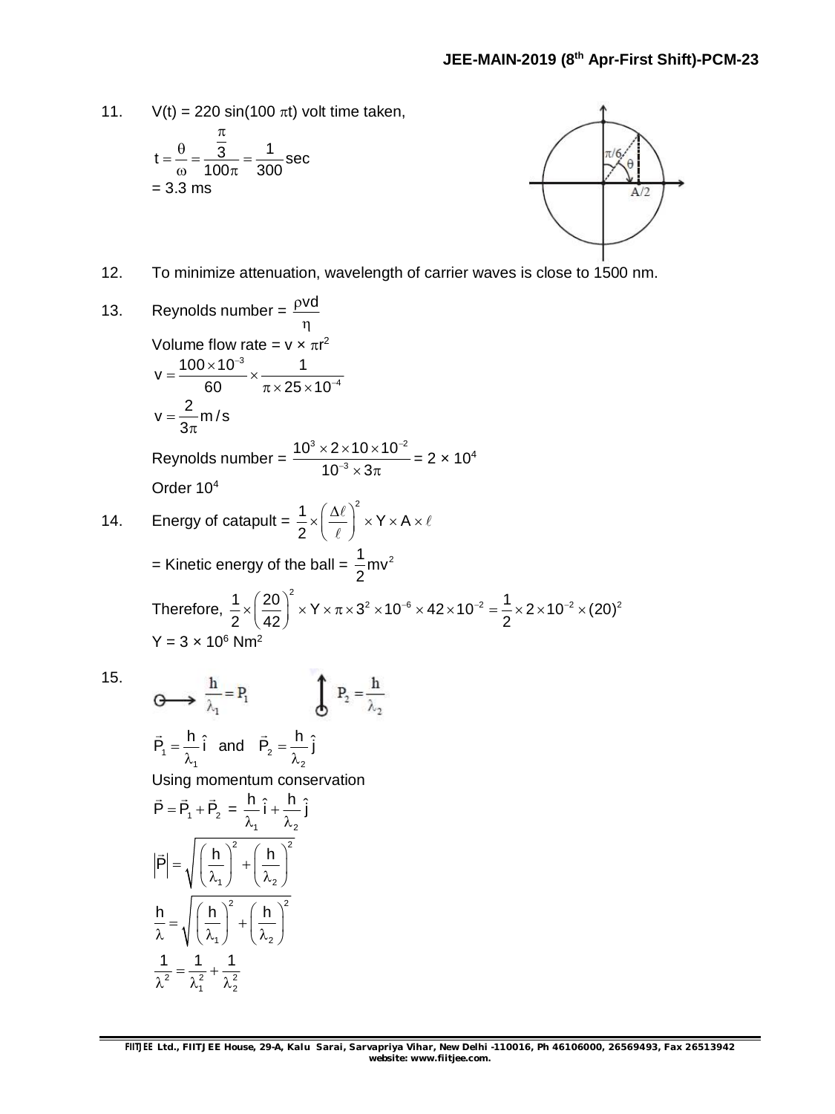11.  $V(t) = 220 \sin(100 \pi t)$  volt time taken,

$$
t = \frac{\theta}{\omega} = \frac{\frac{\pi}{3}}{100\pi} = \frac{1}{300} \sec
$$
  
= 3.3 ms

<sup>2</sup>  $\lambda_1^2$   $\lambda_2^2$ 

 $\lambda^2$   $\lambda_1^2$   $\lambda_2^2$ 



12. To minimize attenuation, wavelength of carrier waves is close to 1500 nm.

13. Reynolds number = 
$$
\frac{pvd}{\eta}
$$
  
\nVolume flow rate =  $v \times \pi r^2$   
\n $v = \frac{100 \times 10^{-3}}{60} \times \frac{1}{\pi \times 25 \times 10^{-4}}$   
\n $v = \frac{2}{3\pi} m/s$   
\nReynolds number =  $\frac{10^3 \times 2 \times 10 \times 10^{-2}}{10^{-3} \times 3\pi} = 2 \times 10^4$   
\nOrder 10<sup>4</sup>  
\n14. Energy of catapult =  $\frac{1}{2} \times \left(\frac{\Delta \ell}{\ell}\right)^2 \times Y \times A \times \ell$   
\n= Kinetic energy of the ball =  $\frac{1}{2}mv^2$   
\nTherefore,  $\frac{1}{2} \times \left(\frac{20}{42}\right)^2 \times Y \times \pi \times 3^2 \times 10^{-6} \times 42 \times 10^{-2} = \frac{1}{2} \times 2 \times 10^{-2} \times (20)^2$   
\n $Y = 3 \times 10^6$  Nm<sup>2</sup>  
\n15.  $\oint_{\frac{1}{\lambda_1}} = P_1$   $\oint_{\frac{1}{\lambda_2}} P_2 = \frac{h}{\lambda_2}$   
\n $\vec{P}_1 = \frac{h}{\lambda_1}$  and  $\vec{P}_2 = \frac{h}{\lambda_2}$   
\nUsing momentum conservation  
\n $\vec{P} = \vec{P}_1 + \vec{P}_2 = \frac{h}{\lambda_1} \hat{i} + \frac{h}{\lambda_2} \hat{j}$   
\n $|\vec{P}| = \sqrt{\left(\frac{h}{\lambda_1}\right)^2 + \left(\frac{h}{\lambda_2}\right)^2}$   
\n $\frac{h}{\lambda_1} = \sqrt{\left(\frac{h}{\lambda_1}\right)^2 + \left(\frac{h}{\lambda_2}\right)^2}$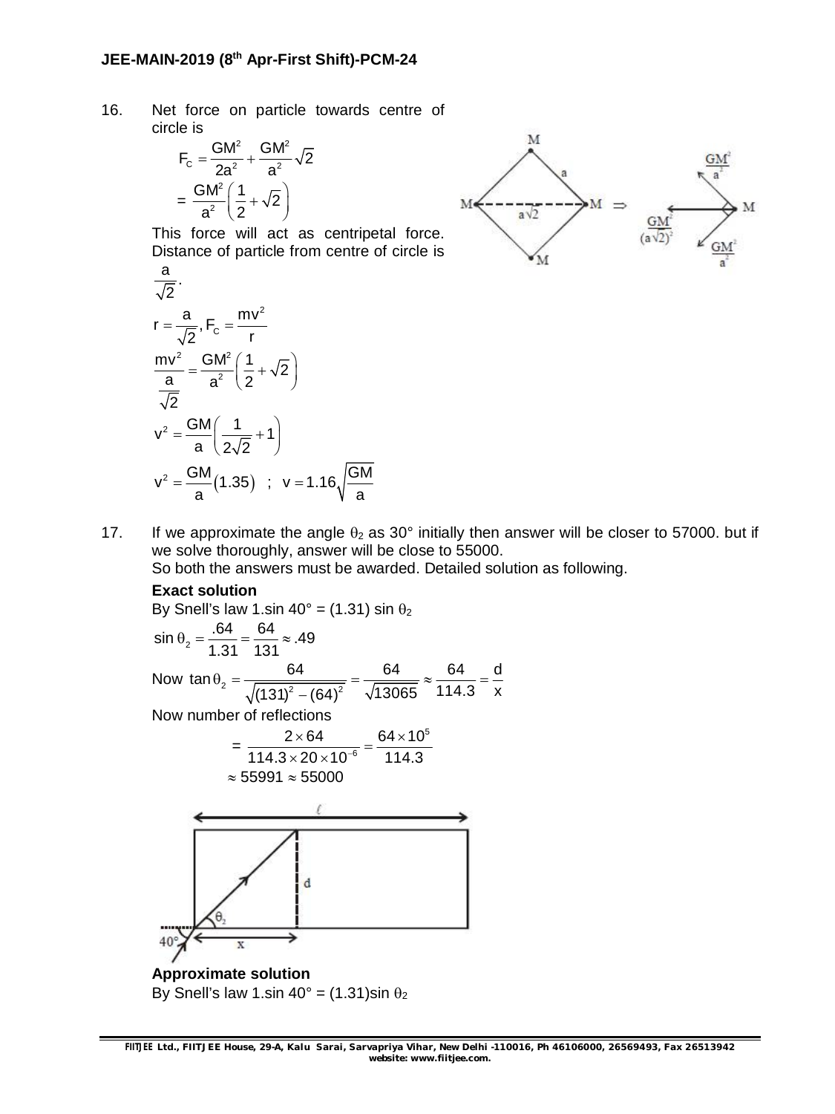#### **JEE-MAIN-2019 (8 th Apr-First Shift)-PCM-24**

16. Net force on particle towards centre of circle is

$$
F_c = \frac{GM^2}{2a^2} + \frac{GM^2}{a^2}\sqrt{2}
$$

$$
= \frac{GM^2}{a^2} \left(\frac{1}{2} + \sqrt{2}\right)
$$

This force will act as centripetal force. Distance of particle from centre of circle is

$$
\frac{a}{\sqrt{2}}.
$$
\n
$$
r = \frac{a}{\sqrt{2}}, F_c = \frac{mv^2}{r}
$$
\n
$$
\frac{mv^2}{\frac{a}{\sqrt{2}}} = \frac{GM^2}{a^2} \left(\frac{1}{2} + \sqrt{2}\right)
$$
\n
$$
v^2 = \frac{GM}{a} \left(\frac{1}{2\sqrt{2}} + 1\right)
$$
\n
$$
v^2 = \frac{GM}{a} (1.35) ; v = 1.16 \sqrt{\frac{GM}{a}}
$$



17. If we approximate the angle  $\theta_2$  as 30° initially then answer will be closer to 57000. but if we solve thoroughly, answer will be close to 55000.

So both the answers must be awarded. Detailed solution as following.

#### **Exact solution**

By Snell's law 1.sin 40° = (1.31) sin 
$$
\theta_2
$$
  
\nsin  $\theta_2 = \frac{.64}{1.31} = \frac{64}{131} \approx .49$   
\nNow tan  $\theta_2 = \frac{64}{\sqrt{(131)^2 - (64)^2}} = \frac{64}{\sqrt{13065}} \approx \frac{64}{114.3} = \frac{d}{x}$   
\nNow number of reflections

$$
=\frac{2\times64}{114.3\times20\times10^{-6}}=\frac{64\times10^{5}}{114.3}
$$
  
≈ 55991 ≈ 55000



**Approximate solution** By Snell's law 1.sin  $40^\circ$  = (1.31)sin  $\theta_2$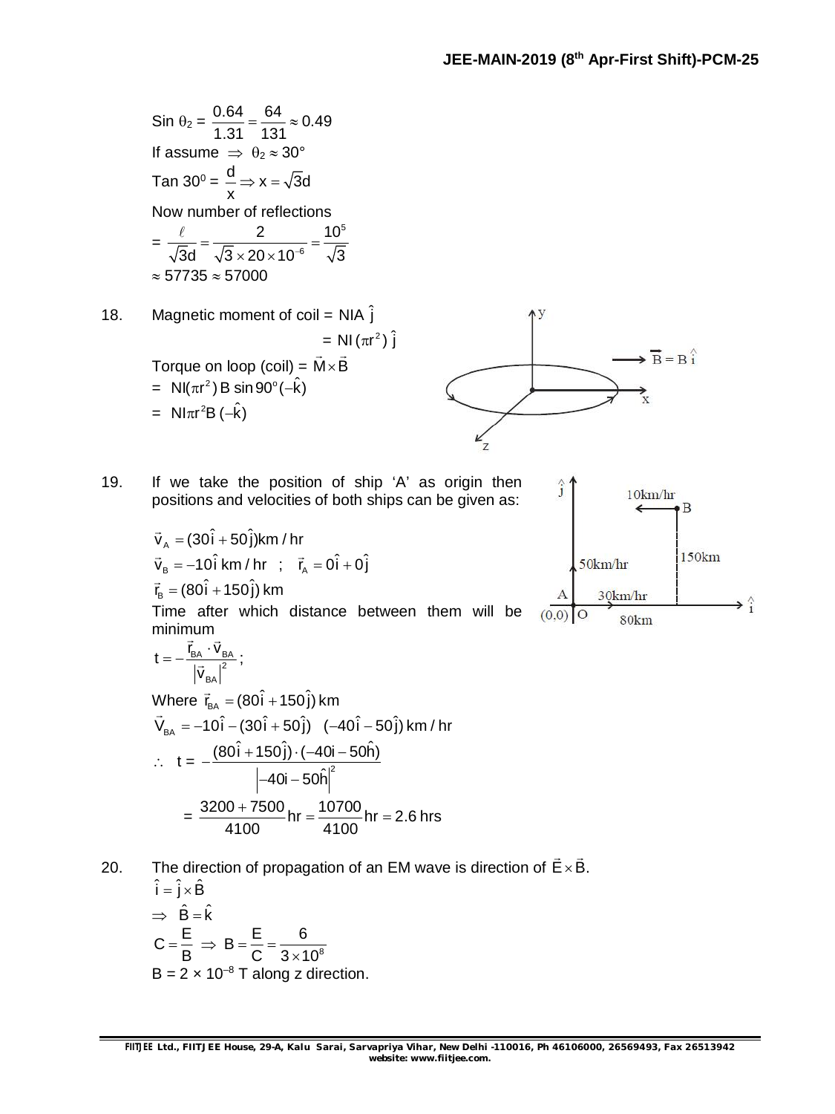$$
\sin \theta_2 = \frac{0.64}{1.31} = \frac{64}{131} \approx 0.49
$$
\nIf assume  $\Rightarrow \theta_2 \approx 30^\circ$   
\n
$$
\tan 30^\circ = \frac{d}{x} \Rightarrow x = \sqrt{3}d
$$
\nNow number of reflections  
\n
$$
= \frac{\ell}{\sqrt{3}d} = \frac{2}{\sqrt{3} \times 20 \times 10^{-6}} = \frac{10^5}{\sqrt{3}}
$$
\n $\approx 57735 \approx 57000$   
\n18. Magnetic moment of coil = NIA  $\hat{j}$   
\n
$$
= NI(\pi r^2) \hat{j}
$$
\nTorque on loop (coil) =  $\vec{M} \times \vec{B}$   
\n
$$
= NI(\pi r^2) B \sin 90^\circ (-\hat{k})
$$
\n
$$
= NI\pi r^2 B(-\hat{k})
$$

19. If we take the position of ship 'A' as origin then positions and velocities of both ships can be given as:

$$
\vec{v}_A = (30\hat{i} + 50\hat{j})km / hr
$$
  
\n
$$
\vec{v}_B = -10\hat{i} km / hr ; \vec{r}_A = 0\hat{i} + 0\hat{j}
$$
  
\n
$$
\vec{r}_B = (80\hat{i} + 150\hat{j}) km
$$

Time after which distance between them will be minimum<br>=

$$
t=-\frac{\vec{r}_{BA}\cdot\vec{v}_{BA}}{\left|\vec{v}_{BA}\right|^2};
$$

Where  $\vec{r}_{BA} = (80\hat{i} + 150\hat{j})$  km  $\vec{V}_{BA} = -10\hat{i} - (30\hat{i} + 50\hat{j})$  (-40 $\hat{i} - 50\hat{j}$ ) km / hr  $t = -\frac{(661 + 168)^{2}}{1}$  $(80\hat{i} + 150\hat{j}) \cdot (-40i - 50\hat{h})$  $40$ i  $-50\hat{h}$  $-\frac{(80i+150j)\cdot(-40i-\frac{6}{3})}{2}$ –40i – t  $=\frac{3200+7500}{1100}$  hr  $=\frac{10700}{1100}$  hr  $= 2.6$  hrs 4100 4100  $\frac{+7500}{100}$ hr =  $\frac{10700}{1100}$ hr = 2

20. The direction of propagation of an EM wave is direction of  $E \times B$ .  $\rightarrow$ 

$$
\hat{i} = \hat{j} \times \hat{B}
$$
  
\n
$$
\Rightarrow \hat{B} = \hat{k}
$$
  
\n
$$
C = \frac{E}{B} \Rightarrow B = \frac{E}{C} = \frac{6}{3 \times 10^8}
$$
  
\n
$$
B = 2 \times 10^{-8} \text{ T along z direction.}
$$



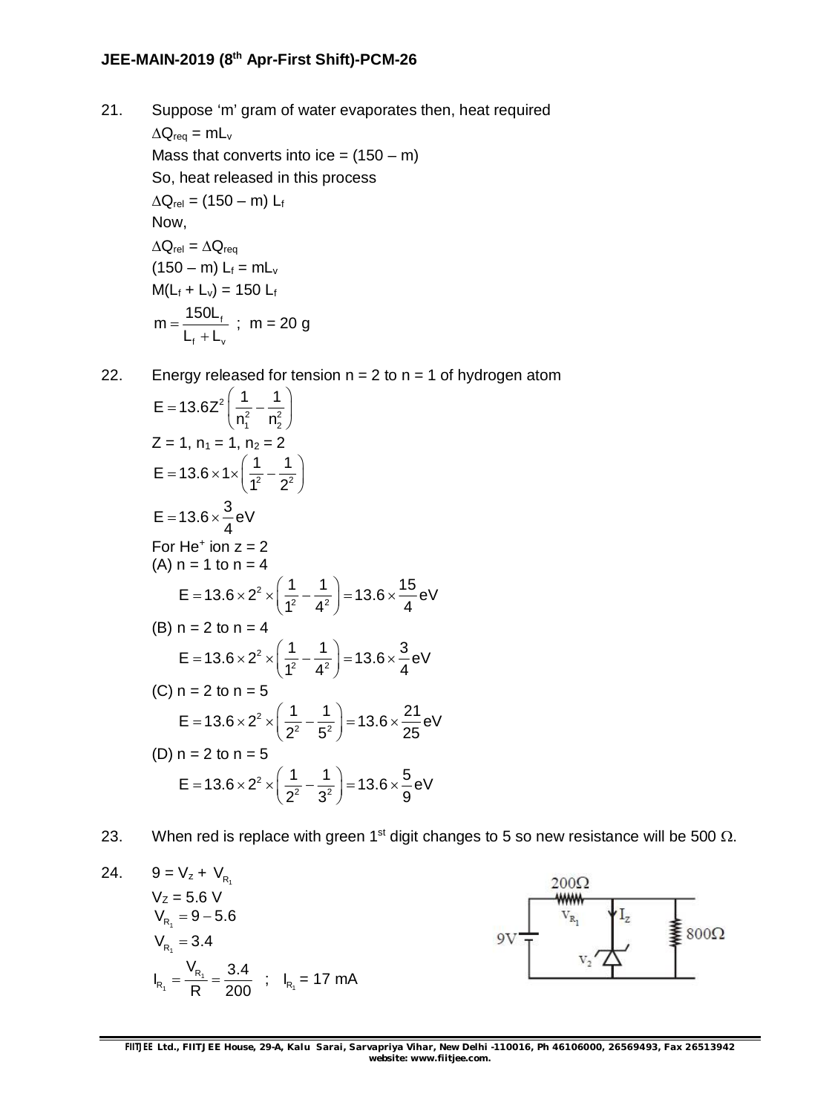### **JEE-MAIN-2019 (8 th Apr-First Shift)-PCM-26**

- 21. Suppose 'm' gram of water evaporates then, heat required  $\Delta Q_{\text{req}} = mL_v$ Mass that converts into ice =  $(150 - m)$ So, heat released in this process  $\Delta Q_{rel} = (150 - m) L_f$ Now,  $\Delta Q_{rel} = \Delta Q_{req}$  $(150 - m) L_f = mL_v$  $M(L_f + L_v) = 150 L_f$ f f v  $m = \frac{150L}{1}$  $\mathsf{L}_{\mathsf{f}}+\mathsf{L}_{\mathsf{v}}$  $=$  $\ddot{}$ ; m = 20 g
- 22. Energy released for tension  $n = 2$  to  $n = 1$  of hydrogen atom

$$
E = 13.6Z^{2} \left( \frac{1}{n_{1}^{2}} - \frac{1}{n_{2}^{2}} \right)
$$
  
\nZ = 1, n<sub>1</sub> = 1, n<sub>2</sub> = 2  
\nE = 13.6 × 1 ×  $\left( \frac{1}{1^{2}} - \frac{1}{2^{2}} \right)$   
\nE = 13.6 ×  $\frac{3}{4}$  eV  
\nFor He<sup>+</sup> ion z = 2  
\n(A) n = 1 to n = 4  
\nE = 13.6 × 2<sup>2</sup> ×  $\left( \frac{1}{1^{2}} - \frac{1}{4^{2}} \right)$  = 13.6 ×  $\frac{15}{4}$  eV  
\n(B) n = 2 to n = 4  
\nE = 13.6 × 2<sup>2</sup> ×  $\left( \frac{1}{1^{2}} - \frac{1}{4^{2}} \right)$  = 13.6 ×  $\frac{3}{4}$  eV  
\n(C) n = 2 to n = 5  
\nE = 13.6 × 2<sup>2</sup> ×  $\left( \frac{1}{2^{2}} - \frac{1}{5^{2}} \right)$  = 13.6 ×  $\frac{21}{25}$  eV  
\n(D) n = 2 to n = 5  
\nE = 13.6 × 2<sup>2</sup> ×  $\left( \frac{1}{2^{2}} - \frac{1}{3^{2}} \right)$  = 13.6 ×  $\frac{5}{9}$  eV

23. When red is replace with green 1<sup>st</sup> digit changes to 5 so new resistance will be 500  $\Omega$ .

24. 
$$
9 = V_z + V_{R_1}
$$
  
\n $V_Z = 5.6 V$   
\n $V_{R_1} = 9 - 5.6$   
\n $V_{R_1} = 3.4$   
\n $I_{R_1} = \frac{V_{R_1}}{R} = \frac{3.4}{200}$ ;  $I_{R_1} = 17$  mA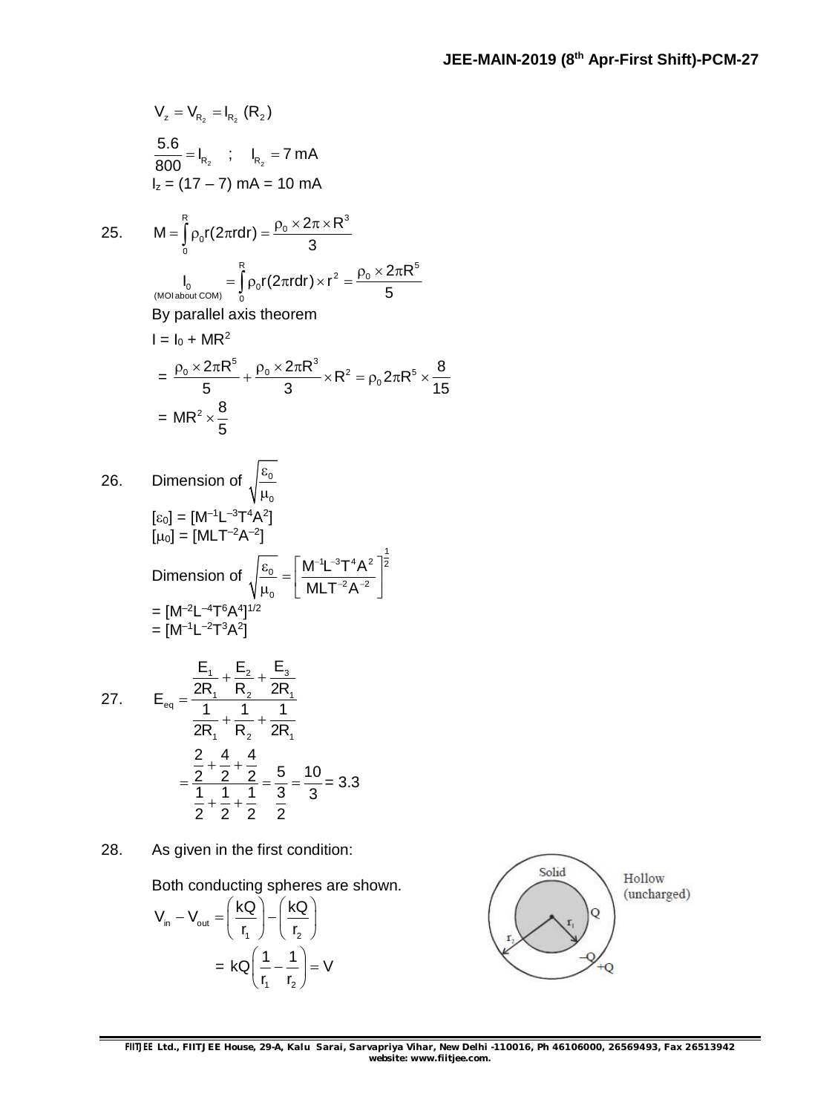$$
V_z = V_{R_2} = I_{R_2} (R_2)
$$
  
\n
$$
\frac{5.6}{800} = I_{R_2}; \quad I_{R_2} = 7 mA
$$
  
\n
$$
I_z = (17 - 7) mA = 10 mA
$$
  
\n25. M =  $\int_{0}^{R} \rho_0 r(2\pi r dr) = \frac{\rho_0 \times 2\pi \times R^3}{3}$   
\n
$$
I_0 = \int_{0}^{R} \rho_0 r(2\pi r dr) \times r^2 = \frac{\rho_0 \times 2\pi R^5}{5}
$$
  
\nBy parallel axis theorem  
\n
$$
I = I_0 + MR^2
$$
  
\n
$$
= \frac{\rho_0 \times 2\pi R^5}{5} + \frac{\rho_0 \times 2\pi R^3}{3} \times R^2 = \rho_0 2\pi R^5 \times \frac{8}{15}
$$
  
\n
$$
= MR^2 \times \frac{8}{5}
$$
  
\n26. Dimension of  $\sqrt{\frac{\epsilon_0}{\mu_0}}$   
\n
$$
[\epsilon_0] = [M^{-1}L^{-3}T^4A^2]
$$
  
\n[μ<sub>0</sub>] = [MLT<sup>-2</sup>A<sup>-2</sup>]  
\nDimension of  $\sqrt{\frac{\epsilon_0}{\mu_0}} = \left[\frac{M^{-1}L^{-3}T^4A^2}{MLT^{-2}A^{-2}}\right]^{\frac{1}{2}}$   
\n= [M<sup>-2</sup>L<sup>-4</sup>T<sup>6</sup>A<sup>4</sup>]<sup>1/2</sup>  
\n= [M<sup>-1</sup>L<sup>-2</sup>T<sup>3</sup>A<sup>2</sup>]  
\n27. E<sub>80</sub> =  $\frac{\frac{E_1}{2R_1} + \frac{E_2}{R_2} + \frac{E_3}{2R_1}}{2R_1} + \frac{1}{R_2} + \frac{1}{2R_1}$   
\n
$$
= \frac{\frac{2}{2} + \frac{4}{2} + \frac{4}{2}}{2R_1} = \frac{5}{3} = \frac{10}{3} = 3.3
$$

28. As given in the first condition:

 $+\frac{1}{2}+$ 

2 2 2 2

Both conducting spheres are shown.

$$
V_{in} - V_{out} = \left(\frac{kQ}{r_1}\right) - \left(\frac{kQ}{r_2}\right)
$$

$$
= kQ\left(\frac{1}{r_1} - \frac{1}{r_2}\right) = V
$$

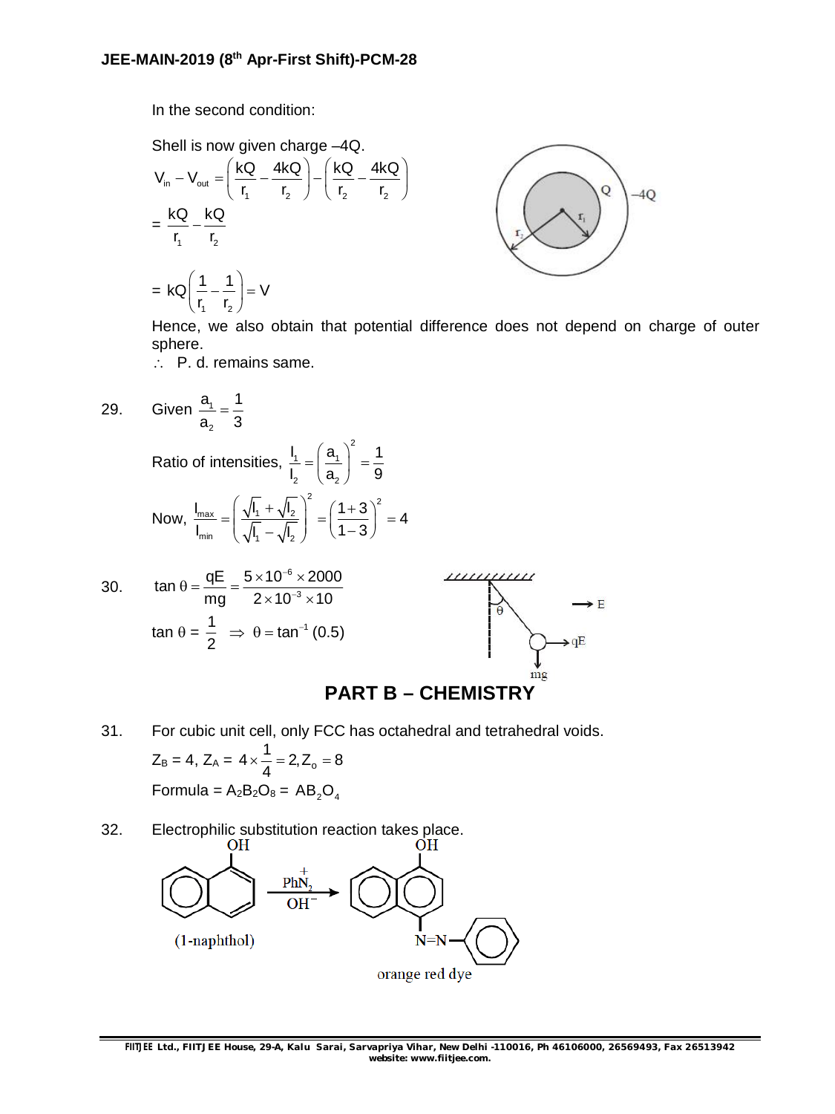In the second condition:

Shell is now given charge -4Q.  
\n
$$
V_{in} - V_{out} = \left(\frac{kQ}{r_1} - \frac{4kQ}{r_2}\right) - \left(\frac{kQ}{r_2} - \frac{4kQ}{r_2}\right)
$$
\n
$$
= \frac{kQ}{r_1} - \frac{kQ}{r_2}
$$
\n
$$
= kQ\left(\frac{1}{r_1} - \frac{1}{r_2}\right) = V
$$



Hence, we also obtain that potential difference does not depend on charge of outer sphere.

P. d. remains same.

 $(r_1 \t r_2)$ 

29. Given 
$$
\frac{a_1}{a_2} = \frac{1}{3}
$$

Ratio of intensities,  $1 - 1$   $-1$ 2  $\mathcal{L}_{2}$  $I_1$   $(a_1)$  1  $I, (a, 9)$  $=\left(\frac{a_1}{a_2}\right)^2 = \frac{1}{3}$ 

Now, 
$$
\frac{I_{\text{max}}}{I_{\text{min}}} = \left(\frac{\sqrt{I_1} + \sqrt{I_2}}{\sqrt{I_1} - \sqrt{I_2}}\right)^2 = \left(\frac{1+3}{1-3}\right)^2 = 4
$$



2

### **PART B – CHEMISTRY**

31. For cubic unit cell, only FCC has octahedral and tetrahedral voids.

$$
Z_B = 4
$$
,  $Z_A = 4 \times \frac{1}{4} = 2$ ,  $Z_o = 8$   
Formula =  $A_2B_2O_8 = AB_2O_4$ 

32. Electrophilic substitution reaction takes place.<br>OH PhN  $(1$ -naphthol)  $N=N$ orange red dye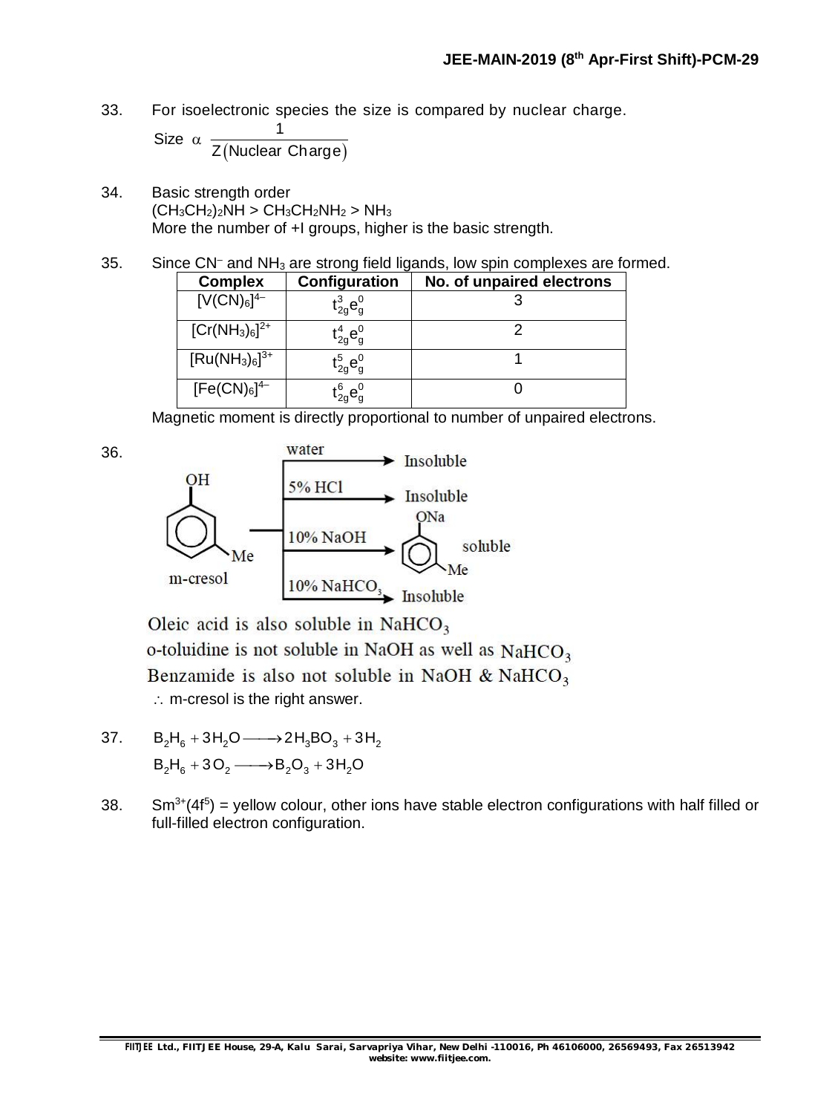33. For isoelectronic species the size is compared by nuclear charge.

(Nuclear Charge) 1 Size  $\alpha$ Z Nuclear Charge

- 34. Basic strength order  $(CH_3CH_2)_2NH > CH_3CH_2NH_2 > NH_3$ More the number of +I groups, higher is the basic strength.
- 35. Since CN<sup>-</sup> and NH<sub>3</sub> are strong field ligands, low spin complexes are formed.

| <b>Complex</b>      | Configuration                                                                | No. of unpaired electrons |
|---------------------|------------------------------------------------------------------------------|---------------------------|
| $[V(CN)_6]^{4-}$    | $t_{2g}^{3}e_{g}^{0}$                                                        |                           |
| $[Cr(NH_3)_6]^{2+}$ | $\mathsf{t}_{\mathsf{2g}}^{\mathsf{4}} \mathsf{e}_{\mathsf{g}}^{\mathsf{0}}$ |                           |
| $[Ru(NH_3)_6]^{3+}$ | $\mathfrak{t}_{\mathrm{2g}}^{5}\mathsf{e}_{\mathrm{g}}^{0}$                  |                           |
| $[Fe(CN)6]^{4-}$    | $\mathfrak{t}_{\mathrm{2g}}^6\mathsf{e}_{\mathrm{g}}^0$                      |                           |

Magnetic moment is directly proportional to number of unpaired electrons.



Oleic acid is also soluble in NaHCO<sub>3</sub> o-toluidine is not soluble in NaOH as well as NaHCO<sub>3</sub> Benzamide is also not soluble in NaOH & NaHCO<sub>3</sub>  $\therefore$  m-cresol is the right answer.

37.  $B_2H_6 + 3H_2O \longrightarrow 2H_3BO_3 + 3H_2$  $B_2H_6 + 3O_2 \longrightarrow B_2O_3 + 3H_2O$ 

36.

38. Sm<sup>3+</sup>(4f<sup>5</sup>) = yellow colour, other ions have stable electron configurations with half filled or full-filled electron configuration.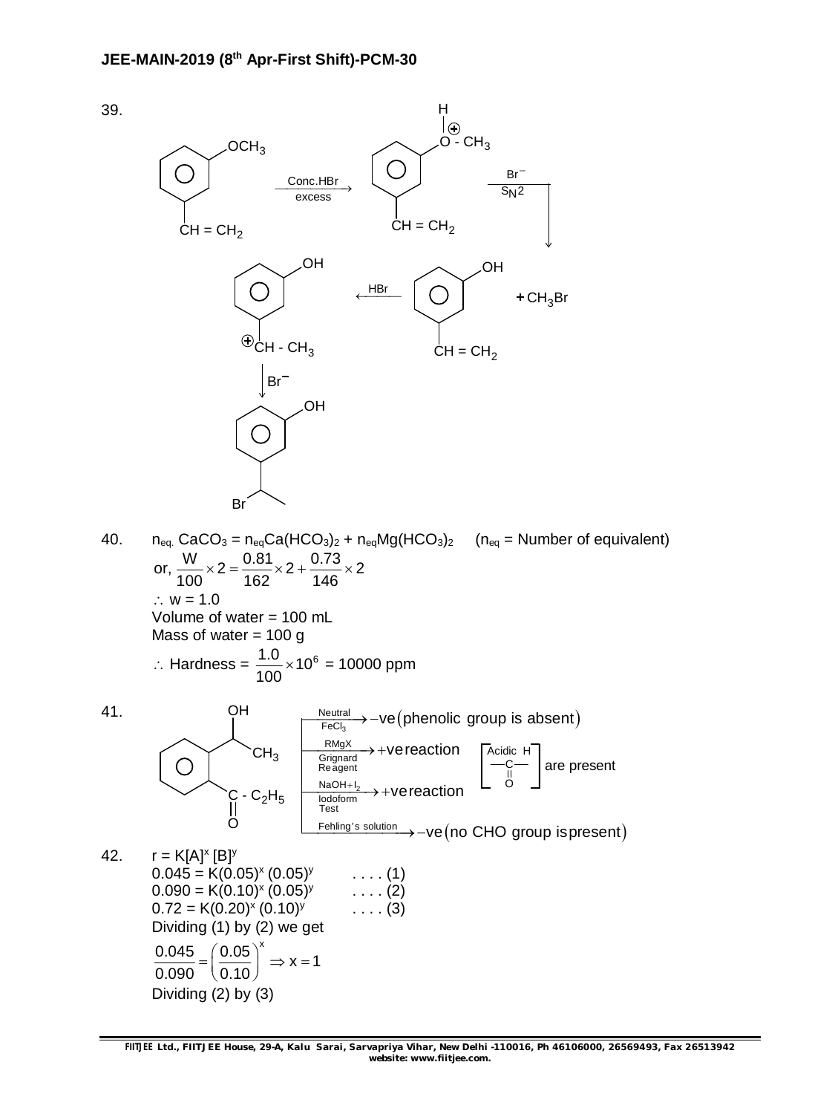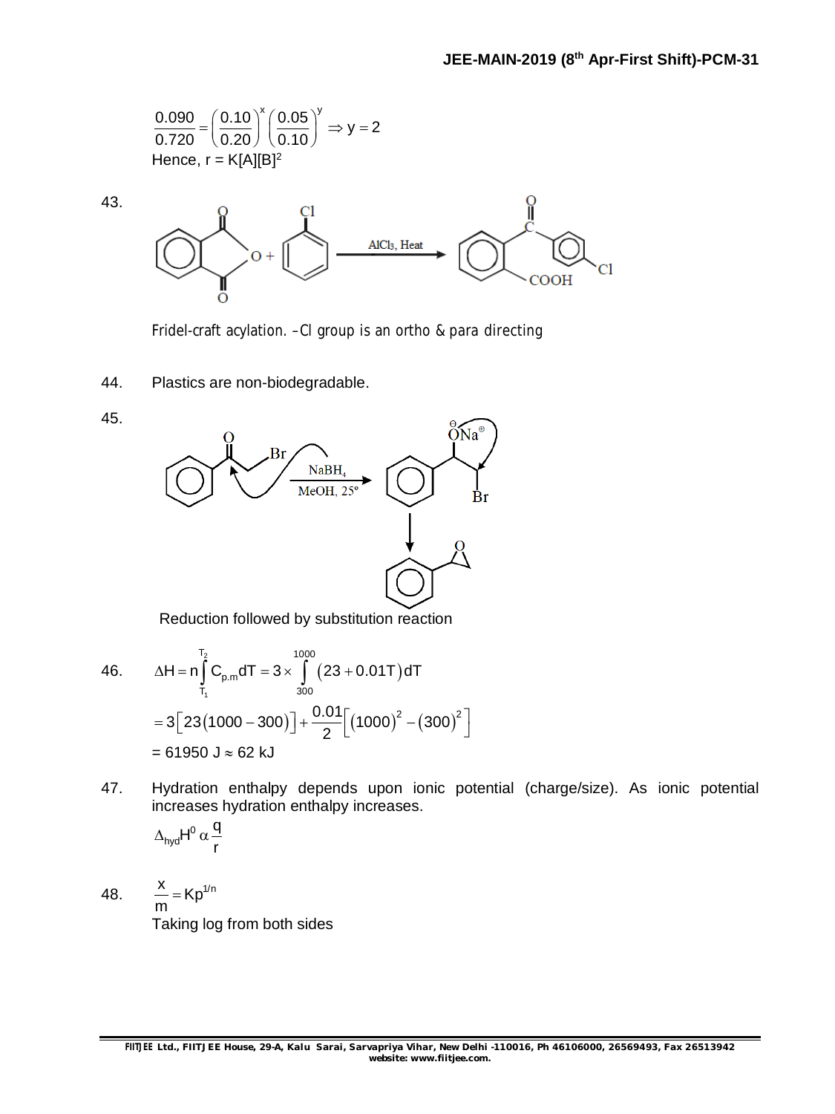$$
\frac{0.090}{0.720} = \left(\frac{0.10}{0.20}\right)^{x} \left(\frac{0.05}{0.10}\right)^{y} \Rightarrow y = 2
$$
  
Hence, r = K[A][B]<sup>2</sup>

43.



Fridel-craft acylation. –Cl group is an ortho & para directing

44. Plastics are non-biodegradable.





Reduction followed by substitution reaction

46. 
$$
\Delta H = n \int_{T_1}^{T_2} C_{p,m} dT = 3 \times \int_{300}^{1000} (23 + 0.01T) dT
$$

$$
= 3[23(1000 - 300)] + \frac{0.01}{2} [(1000)^2 - (300)^2]
$$

$$
= 61950 \text{ J} \approx 62 \text{ kJ}
$$

47. Hydration enthalpy depends upon ionic potential (charge/size). As ionic potential increases hydration enthalpy increases.

$$
\Delta_{\text{hyd}}H^0\,\alpha\,\frac{q}{r}
$$

48.  $\frac{x}{m} = Kp^{1/n}$ m  $=$ Taking log from both sides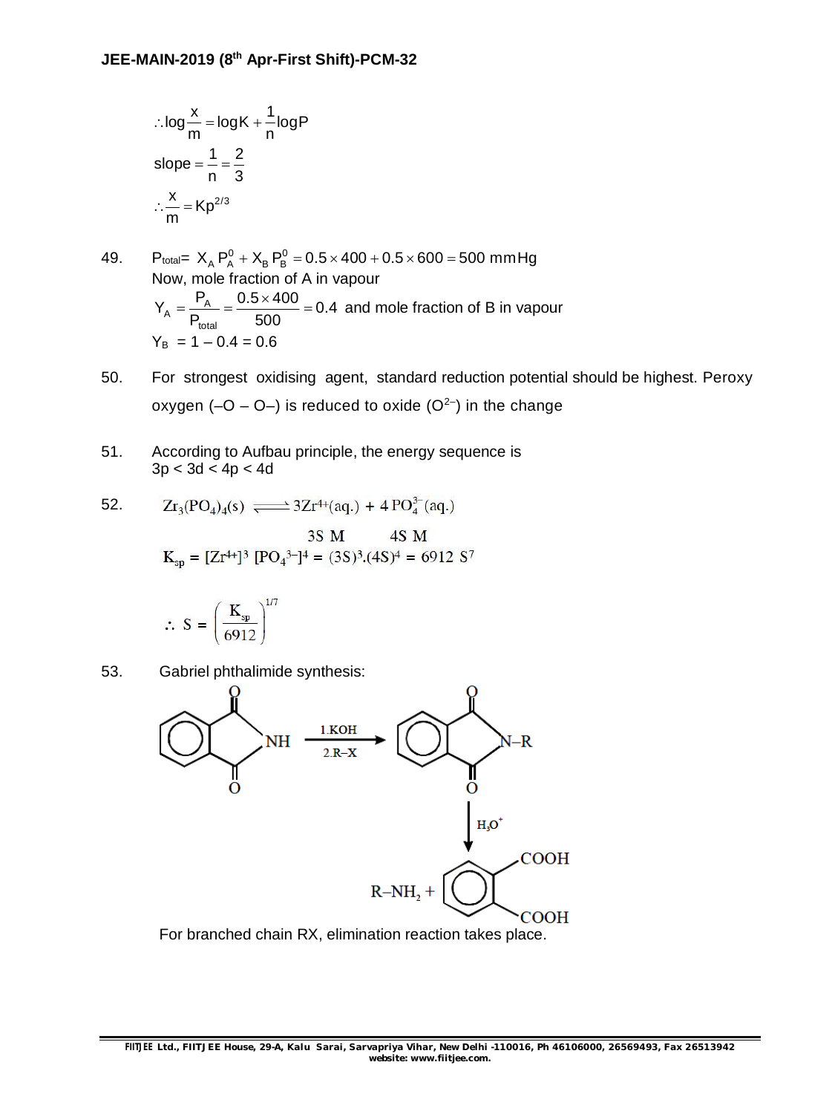$$
\therefore \log \frac{x}{m} = \log K + \frac{1}{n} \log P
$$
  
slope =  $\frac{1}{n} = \frac{2}{3}$   

$$
\therefore \frac{x}{m} = Kp^{2/3}
$$

49. 
$$
P_{\text{total}} = X_A P_A^0 + X_B P_B^0 = 0.5 \times 400 + 0.5 \times 600 = 500 \text{ mm Hg}
$$
  
\nNow, mole fraction of A in vapour  
\n
$$
Y_A = \frac{P_A}{P_{\text{total}}} = \frac{0.5 \times 400}{500} = 0.4 \text{ and mole fraction of B in vapour}
$$
\n
$$
Y_B = 1 - 0.4 = 0.6
$$

- 50. For strongest oxidising agent, standard reduction potential should be highest. Peroxy oxygen (-O - O-) is reduced to oxide (O<sup>2-</sup>) in the change
- 51. According to Aufbau principle, the energy sequence is  $3p < 3d < 4p < 4d$

52. 
$$
Zr_3(PO_4)_4(s) \xrightarrow{ } 3Zr^{4+}(aq.) + 4PO_4^{3-}(aq.)
$$

$$
3S \text{ M} \qquad 4S \text{ M}
$$
  

$$
K_{\text{SD}} = [Zr^{4+}]^{3} [PQ_4^{3-}]^{4} = (3S)^{3}.(4S)^{4} = 6912 S^{7}
$$

$$
\therefore S = \left(\frac{K_{sp}}{6912}\right)^{1/7}
$$

53. Gabriel phthalimide synthesis:



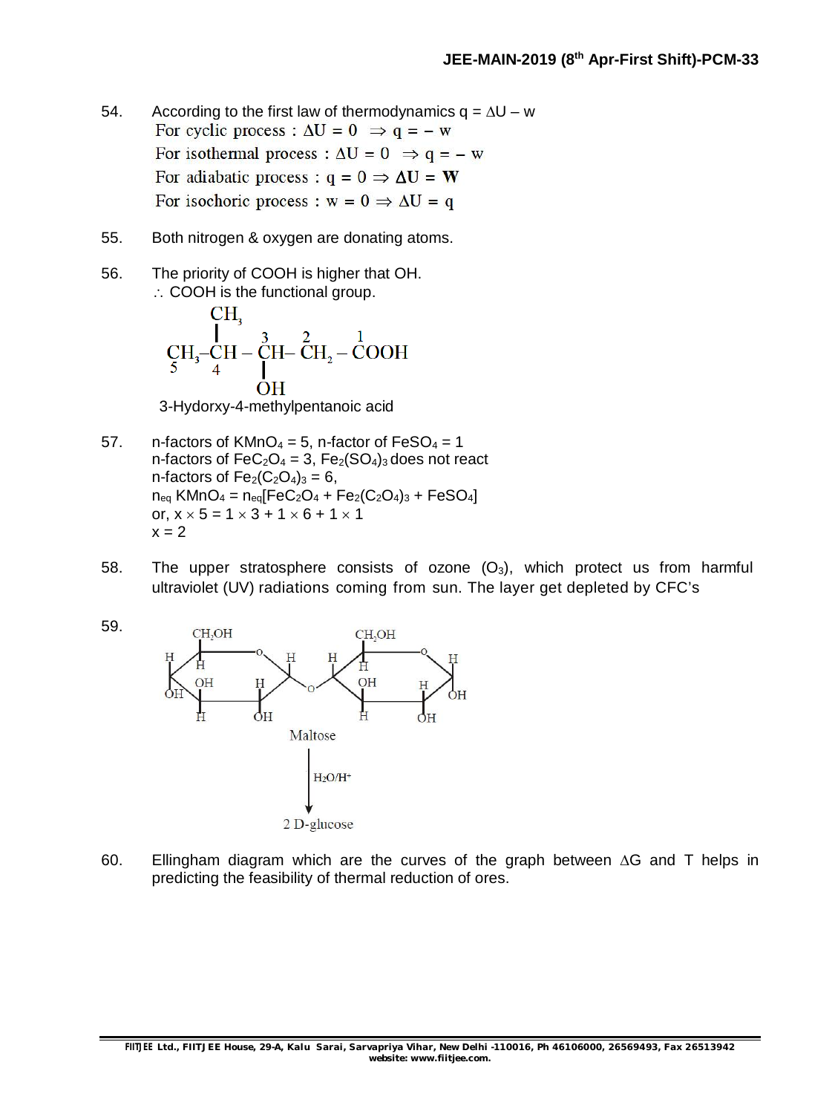- 54. According to the first law of thermodynamics  $q = \Delta U w$ <br>For cyclic process :  $\Delta U = 0 \implies q = -w$ For isothermal process :  $\Delta U = 0 \Rightarrow q = -w$ For adiabatic process :  $q = 0 \Rightarrow \Delta U = W$ For isochoric process :  $w = 0 \Rightarrow \Delta U = q$
- 55. Both nitrogen & oxygen are donating atoms.
- 56. The priority of COOH is higher that OH.  $\therefore$  COOH is the functional group.

CH<sub>3</sub>  
\n
$$
CH_3-CH - CH - CH_2-COOH
$$
\n
$$
OH
$$
\nUblubawa  
\n
$$
H_3
$$
\n
$$
OH
$$

3-Hydorxy-4-methylpentanoic acid

- 57. n-factors of  $K/MnO_4 = 5$ , n-factor of  $FeSO_4 = 1$ n-factors of  $FeC_2O_4 = 3$ ,  $Fe_2(SO_4)_3$  does not react n-factors of  $Fe<sub>2</sub>(C<sub>2</sub>O<sub>4</sub>)<sub>3</sub> = 6$ ,  $n_{eq}$  KMnO<sub>4</sub> =  $n_{eq}$ [FeC<sub>2</sub>O<sub>4</sub> + Fe<sub>2</sub>(C<sub>2</sub>O<sub>4</sub>)<sub>3</sub> + FeSO<sub>4</sub>] or,  $x \times 5 = 1 \times 3 + 1 \times 6 + 1 \times 1$  $x = 2$
- 58. The upper stratosphere consists of ozone  $(O_3)$ , which protect us from harmful ultraviolet (UV) radiations coming from sun. The layer get depleted by CFC's



60. Ellingham diagram which are the curves of the graph between  $\Delta G$  and T helps in predicting the feasibility of thermal reduction of ores.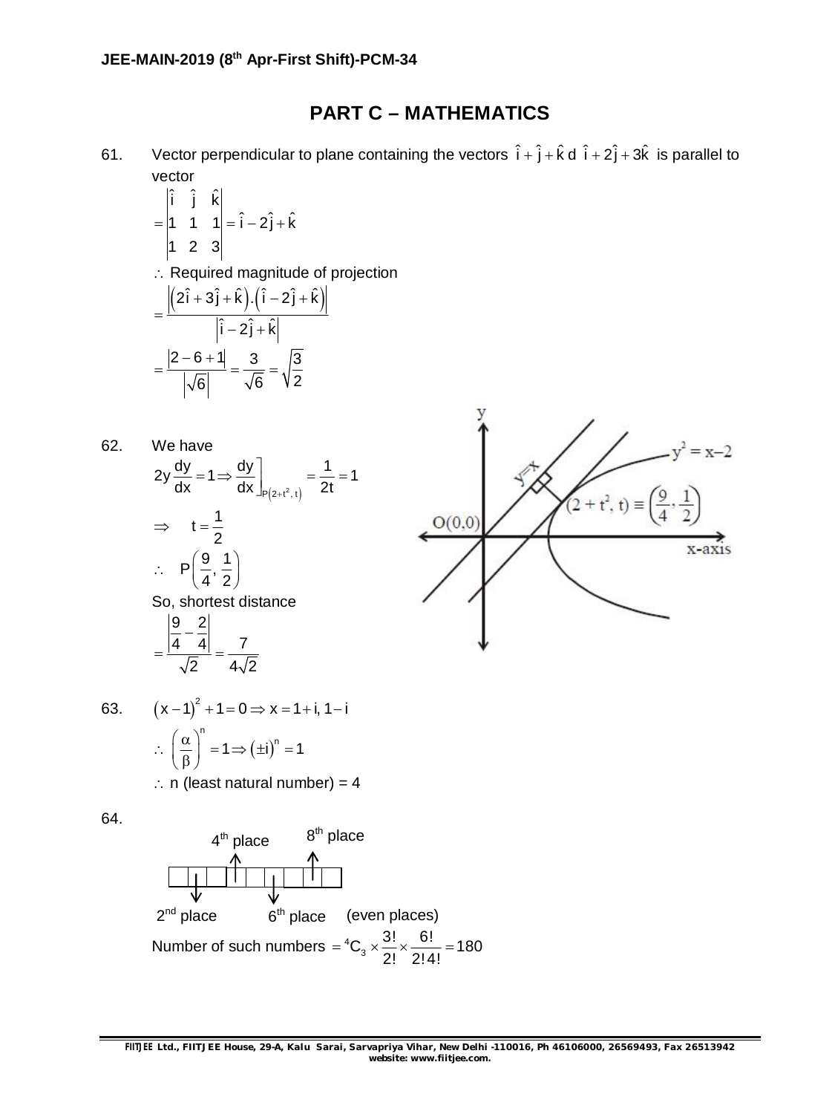### **PART C – MATHEMATICS**

61. Vector perpendicular to plane containing the vectors  $\hat{i} + \hat{j} + \hat{k} d \hat{i} + 2\hat{j} + 3\hat{k}$  is parallel to vector

$$
= \begin{vmatrix} \hat{i} & \hat{j} & \hat{k} \\ 1 & 1 & 1 \\ 1 & 2 & 3 \end{vmatrix} = \hat{i} - 2\hat{j} + \hat{k}
$$

Required magnitude of projection

$$
= \frac{\left| \left(2\hat{i} + 3\hat{j} + \hat{k}\right) \cdot \left(\hat{i} - 2\hat{j} + \hat{k}\right) \right|}{\left|\hat{i} - 2\hat{j} + \hat{k}\right|}
$$

$$
= \frac{\left|2 - 6 + 1\right|}{\left|\sqrt{6}\right|} = \frac{3}{\sqrt{6}} = \sqrt{\frac{3}{2}}
$$

We have  
\n
$$
2y \frac{dy}{dx} = 1 \Rightarrow \frac{dy}{dx}\Big|_{P(2+t^2, t)} = \frac{1}{2t} = 1
$$
\n
$$
\Rightarrow t = \frac{1}{2}
$$
\n
$$
\therefore P\left(\frac{9}{4}, \frac{1}{2}\right)
$$
\nSo, shortest distance  
\n
$$
= \frac{\left|\frac{9}{4} - \frac{2}{4}\right|}{\sqrt{2}} = \frac{7}{4\sqrt{2}}
$$



63. 
$$
(x-1)^2 + 1 = 0 \Rightarrow x = 1 + i, 1 - i
$$

$$
\therefore \left(\frac{\alpha}{\beta}\right)^n = 1 \Rightarrow (\pm i)^n = 1
$$

 $\therefore$  n (least natural number) = 4

64.

62.

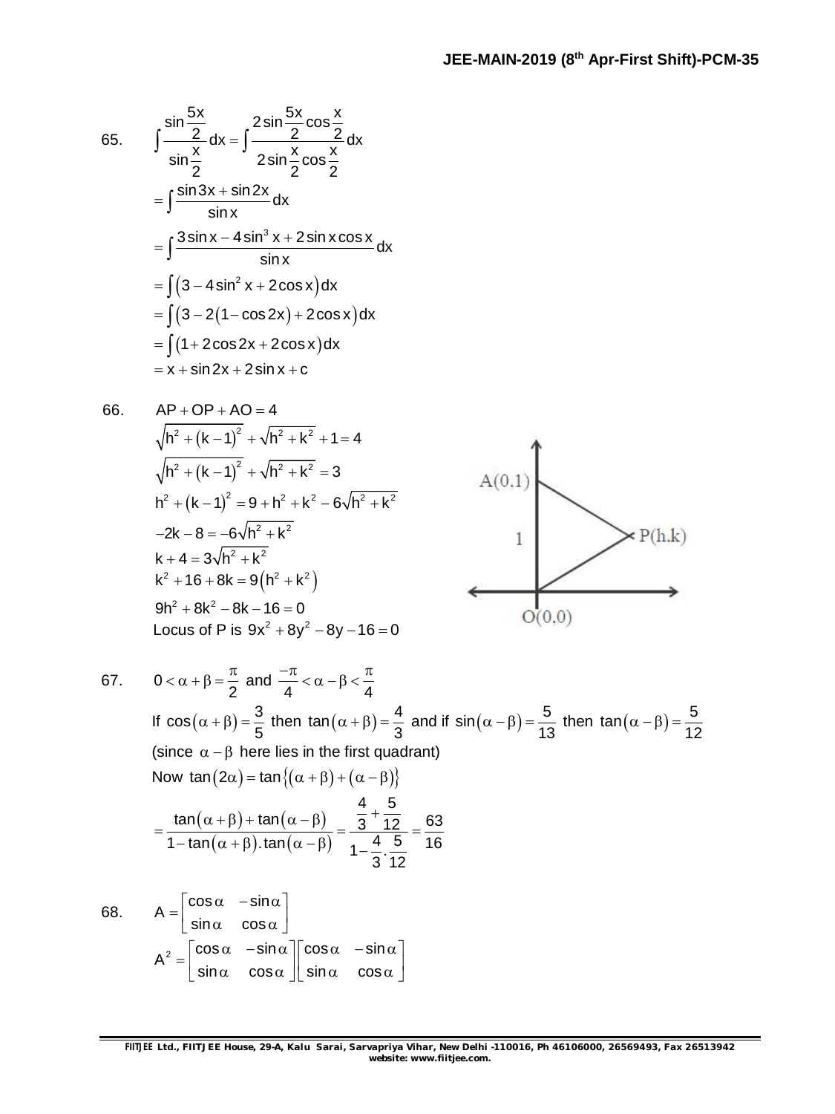65. 
$$
\int \frac{\sin \frac{5x}{2}}{\sin \frac{x}{2}} dx = \int \frac{2 \sin \frac{5x}{2} \cos \frac{x}{2}}{2 \sin \frac{x}{2} \cos \frac{x}{2}} dx
$$

$$
= \int \frac{\sin 3x + \sin 2x}{\sin x} dx
$$

$$
= \int \frac{3 \sin x - 4 \sin^3 x + 2 \sin x \cos x}{\sin x} dx
$$

$$
= \int (3 - 4 \sin^2 x + 2 \cos x) dx
$$

$$
= \int (3 - 2(1 - \cos 2x) + 2 \cos x) dx
$$

$$
= \int (1 + 2 \cos 2x + 2 \cos x) dx
$$

$$
= x + \sin 2x + 2 \sin x + c
$$

66.

$$
AP + OP + AO = 4
$$
\n
$$
\sqrt{h^2 + (k-1)^2} + \sqrt{h^2 + k^2} + 1 = 4
$$
\n
$$
\sqrt{h^2 + (k-1)^2} + \sqrt{h^2 + k^2} = 3
$$
\n
$$
h^2 + (k-1)^2 = 9 + h^2 + k^2 - 6\sqrt{h^2 + k^2}
$$
\n
$$
-2k - 8 = -6\sqrt{h^2 + k^2}
$$
\n
$$
k + 4 = 3\sqrt{h^2 + k^2}
$$
\n
$$
k^2 + 16 + 8k = 9(h^2 + k^2)
$$
\n
$$
9h^2 + 8k^2 - 8k - 16 = 0
$$
\nLocus of P is  $9x^2 + 8y^2 - 8y - 16 = 0$ 



67. 
$$
0 < \alpha + \beta = \frac{\pi}{2}
$$
 and  $\frac{-\pi}{4} < \alpha - \beta < \frac{\pi}{4}$   
\nIf  $\cos(\alpha + \beta) = \frac{3}{5}$  then  $\tan(\alpha + \beta) = \frac{4}{3}$  and if  $\sin(\alpha - \beta) = \frac{5}{13}$  then  $\tan(\alpha - \beta) = \frac{5}{12}$   
\n(since  $\alpha - \beta$  here lies in the first quadrant)  
\nNow  $\tan(2\alpha) = \tan\{( \alpha + \beta) + (\alpha - \beta) \}$   
\n
$$
= \frac{\tan(\alpha + \beta) + \tan(\alpha - \beta)}{1 - \tan(\alpha + \beta) \cdot \tan(\alpha - \beta)} = \frac{\frac{4}{3} + \frac{5}{12}}{1 - \frac{4}{3} \cdot \frac{5}{12}} = \frac{63}{16}
$$
  
\n68.  $A = \begin{bmatrix} \cos \alpha & -\sin \alpha \\ \sin \alpha & \cos \alpha \end{bmatrix}$   
\n $A^2 = \begin{bmatrix} \cos \alpha & -\sin \alpha \\ \sin \alpha & \cos \alpha \end{bmatrix} \begin{bmatrix} \cos \alpha & -\sin \alpha \\ \sin \alpha & \cos \alpha \end{bmatrix} \begin{bmatrix} \cos \alpha & -\sin \alpha \\ \sin \alpha & \cos \alpha \end{bmatrix}$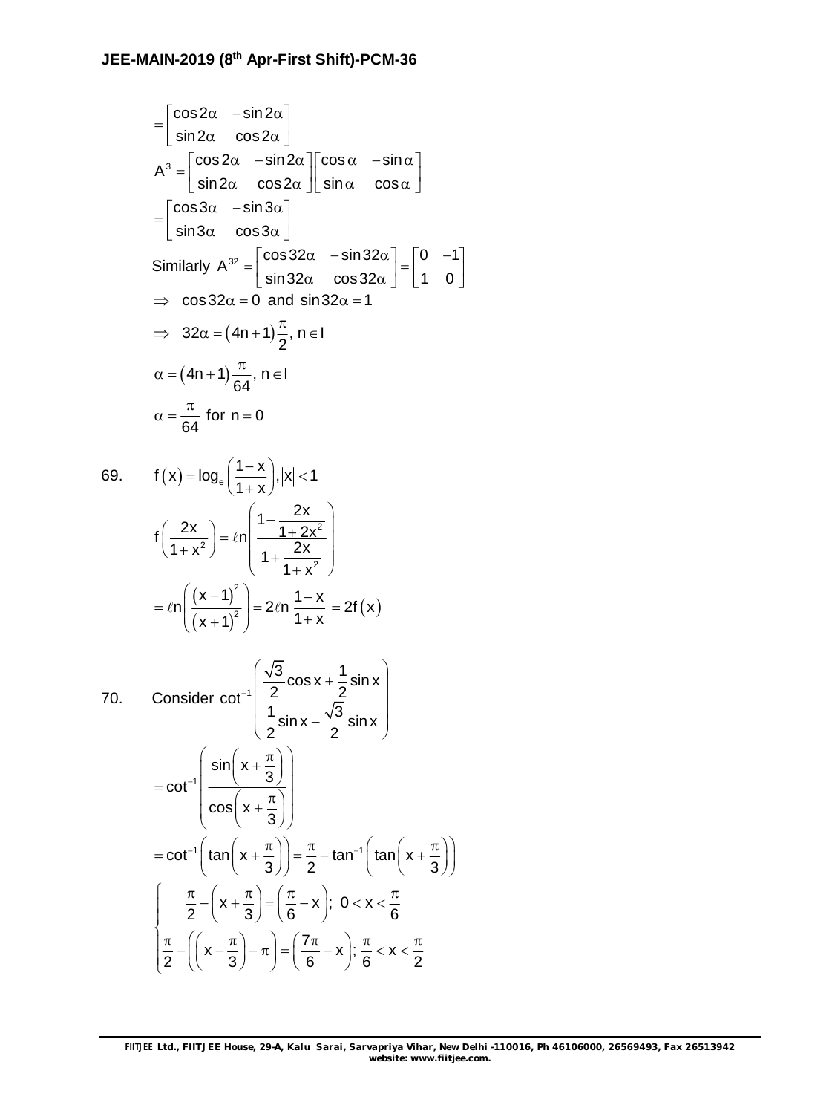$$
\begin{aligned}\n&= \begin{bmatrix} \cos 2\alpha & -\sin 2\alpha \\ \sin 2\alpha & \cos 2\alpha \end{bmatrix} \\
A^3 &= \begin{bmatrix} \cos 2\alpha & -\sin 2\alpha \\ \sin 2\alpha & \cos 2\alpha \end{bmatrix} \begin{bmatrix} \cos \alpha & -\sin \alpha \\ \sin \alpha & \cos \alpha \end{bmatrix} \\
&= \begin{bmatrix} \cos 3\alpha & -\sin 3\alpha \\ \sin 3\alpha & \cos 3\alpha \end{bmatrix} \\
Similarly A^{32} &= \begin{bmatrix} \cos 32\alpha & -\sin 32\alpha \\ \sin 32\alpha & \cos 32\alpha \end{bmatrix} = \begin{bmatrix} 0 & -1 \\ 1 & 0 \end{bmatrix} \\
&\Rightarrow \cos 32\alpha &= 0 \text{ and } \sin 32\alpha = 1 \\
&\Rightarrow 32\alpha &= (4n + 1)\frac{\pi}{2}, n \in I \\
\alpha &= (4n + 1)\frac{\pi}{64}, n \in I \\
\alpha &= \frac{\pi}{64} \text{ for } n = 0\n\end{aligned}
$$

69. 
$$
f(x) = log_e \left( \frac{1-x}{1+x} \right), |x| < 1
$$
  

$$
f\left( \frac{2x}{1+x^2} \right) = \ln \left( \frac{1 - \frac{2x}{1+2x^2}}{1 + \frac{2x}{1+x^2}} \right)
$$

$$
= \ln \left( \frac{(x-1)^2}{(x+1)^2} \right) = 2\ln \left| \frac{1-x}{1+x} \right| = 2f(x)
$$

70. Consider 
$$
\cot^{-1}\left(\frac{\sqrt{3}}{2}\cos x + \frac{1}{2}\sin x\right)
$$
  
\n
$$
= \cot^{-1}\left(\frac{\sin\left(x + \frac{\pi}{3}\right)}{\cos\left(x + \frac{\pi}{3}\right)}\right)
$$
\n
$$
= \cot^{-1}\left(\tan\left(x + \frac{\pi}{3}\right)\right) = \frac{\pi}{2} - \tan^{-1}\left(\tan\left(x + \frac{\pi}{3}\right)\right)
$$
\n
$$
\int \frac{\pi}{2} - \left(x + \frac{\pi}{3}\right) = \left(\frac{\pi}{6} - x\right); \quad 0 < x < \frac{\pi}{6}
$$
\n
$$
\frac{\pi}{2} - \left(\left(x - \frac{\pi}{3}\right) - \pi\right) = \left(\frac{7\pi}{6} - x\right); \quad \frac{\pi}{6} < x < \frac{\pi}{2}
$$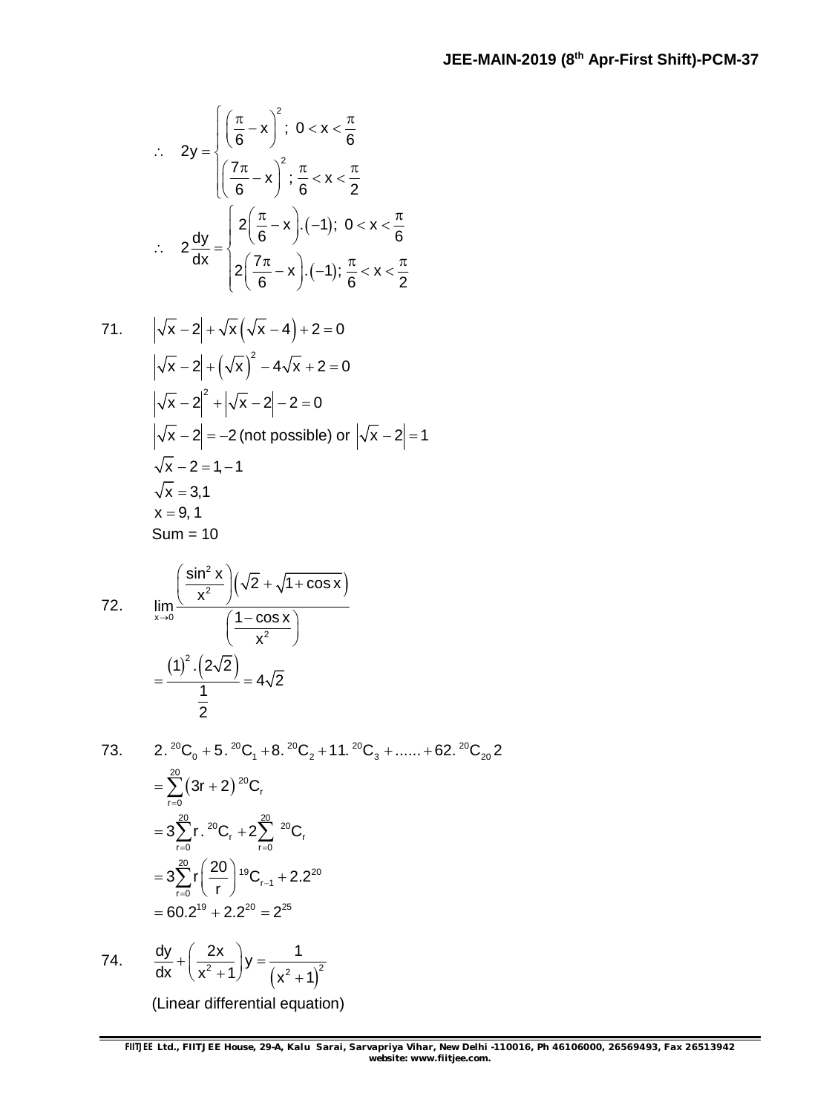$$
\therefore 2y = \begin{cases} \left(\frac{\pi}{6} - x\right)^2; & 0 < x < \frac{\pi}{6} \\ \left(\frac{7\pi}{6} - x\right)^2; & \frac{\pi}{6} < x < \frac{\pi}{2} \end{cases}
$$

$$
\therefore 2\frac{dy}{dx} = \begin{cases} 2\left(\frac{\pi}{6} - x\right).(-1); & 0 < x < \frac{\pi}{6} \\ 2\left(\frac{7\pi}{6} - x\right).(-1); & \frac{\pi}{6} < x < \frac{\pi}{2} \end{cases}
$$

71. 
$$
\left|\sqrt{x} - 2\right| + \sqrt{x} \left(\sqrt{x} - 4\right) + 2 = 0
$$
  
\n $\left|\sqrt{x} - 2\right| + \left(\sqrt{x}\right)^2 - 4\sqrt{x} + 2 = 0$   
\n $\left|\sqrt{x} - 2\right|^2 + \left|\sqrt{x} - 2\right| - 2 = 0$   
\n $\left|\sqrt{x} - 2\right| = -2$  (not possible) or  $\left|\sqrt{x} - 2\right| = 1$   
\n $\sqrt{x} - 2 = 1, -1$   
\n $\sqrt{x} = 3, 1$   
\n $x = 9, 1$   
\nSum = 10

72. 
$$
\lim_{x \to 0} \frac{\left(\frac{\sin^2 x}{x^2}\right) \left(\sqrt{2} + \sqrt{1 + \cos x}\right)}{\left(\frac{1 - \cos x}{x^2}\right)}
$$

$$
= \frac{(1)^2 \cdot (2\sqrt{2})}{\frac{1}{2}} = 4\sqrt{2}
$$

73. 2. 
$$
{}^{20}C_0 + 5. {}^{20}C_1 + 8. {}^{20}C_2 + 11. {}^{20}C_3 + \dots + 62. {}^{20}C_{20} 2
$$
  
\n
$$
= \sum_{r=0}^{20} (3r + 2) {}^{20}C_r
$$
\n
$$
= 3 \sum_{r=0}^{20} r. {}^{20}C_r + 2 \sum_{r=0}^{20} {}^{20}C_r
$$
\n
$$
= 3 \sum_{r=0}^{20} r \left( \frac{20}{r} \right) {}^{19}C_{r-1} + 2.2 {}^{20}
$$
\n
$$
= 60.2 {}^{19} + 2.2 {}^{20} = 2 {}^{25}
$$

74.  $( x^2 + 1)^2$   $( x^2 + 1)^2$  $\frac{dy}{dx} + \left(\frac{2x}{2} \right)y = \frac{1}{2}$ dx  $(x^2 + 1)$   $(x^2 + 1)$  $+\left(\frac{2x}{x^2+1}\right)y=\frac{1}{\left(x^2+1\right)}$ 

(Linear differential equation)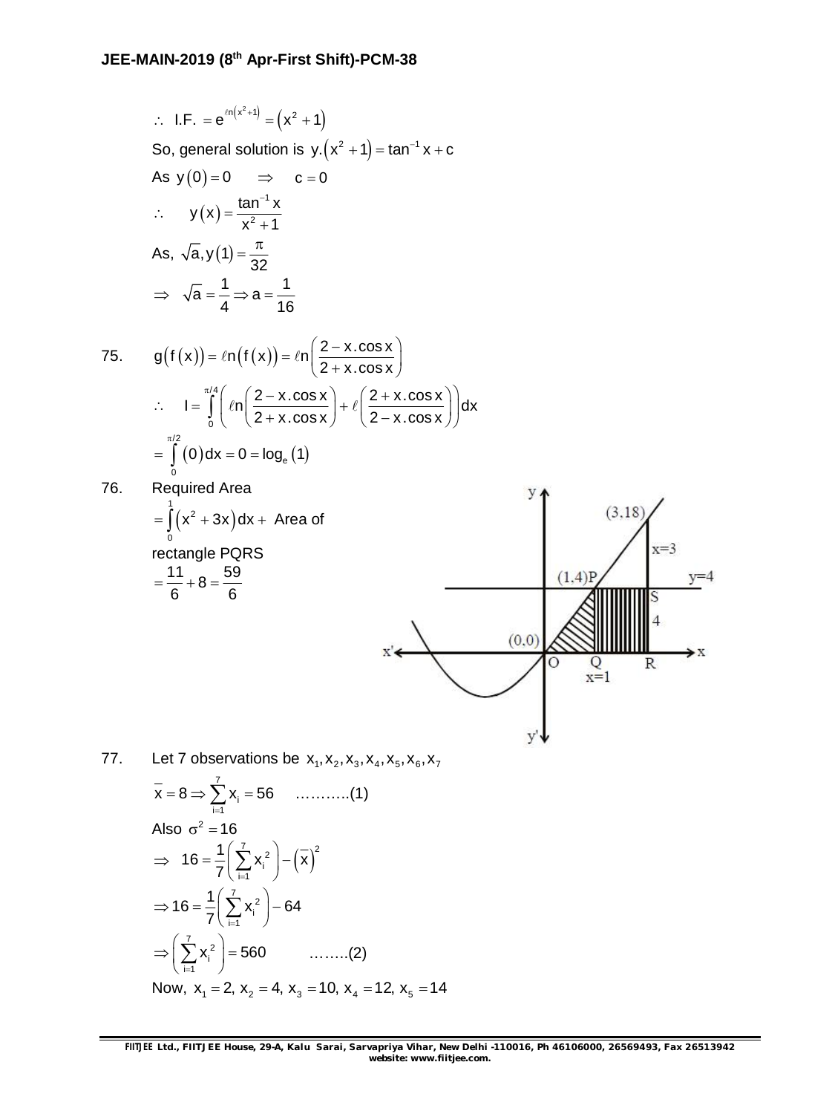$$
\therefore \text{ I.F.} = e^{ln(x^2+1)} = (x^2 + 1)
$$
  
So, general solution is y.(x<sup>2</sup> + 1) = tan<sup>-1</sup> x + c  
As y(0) = 0  $\implies$  c = 0  
 $\therefore$  y(x) =  $\frac{\tan^{-1} x}{x^2 + 1}$   
As,  $\sqrt{a}$ , y(1) =  $\frac{\pi}{32}$   
 $\implies \sqrt{a} = \frac{1}{4} \implies a = \frac{1}{16}$ 

75. 
$$
g(f(x)) = \ln(f(x)) = \ln\left(\frac{2 - x \cdot \cos x}{2 + x \cdot \cos x}\right)
$$

$$
\therefore I = \int_{0}^{\pi/4} \left(\ln\left(\frac{2 - x \cdot \cos x}{2 + x \cdot \cos x}\right) + \ln\left(\frac{2 + x \cdot \cos x}{2 - x \cdot \cos x}\right)\right) dx
$$

$$
= \int_{0}^{\pi/2} (0) dx = 0 = \log_e(1)
$$

76. Required Area

Required Area  
\n
$$
= \int_{0}^{1} (x^{2} + 3x) dx + \text{ Area of}
$$
\n
$$
= \frac{11}{6} + 8 = \frac{59}{6}
$$
\n
$$
x' = \sqrt{\frac{(0,0)}{8} + 24}
$$
\n
$$
y = 4
$$
\n
$$
y = 4
$$
\n
$$
y = 4
$$
\n
$$
y = 4
$$
\n
$$
y = 4
$$
\n
$$
y = 4
$$
\n
$$
y = 4
$$
\n
$$
y = 4
$$
\n
$$
y = 4
$$
\n
$$
y = 4
$$

77. Let 7 observations be 
$$
x_1, x_2, x_3, x_4, x_5, x_6, x_7
$$
  
\n $\bar{x} = 8 \Rightarrow \sum_{i=1}^{7} x_i = 56$  .........(1)  
\nAlso  $\sigma^2 = 16$   
\n $\Rightarrow 16 = \frac{1}{7} (\sum_{i=1}^{7} x_i^2) - (\bar{x})^2$   
\n $\Rightarrow 16 = \frac{1}{7} (\sum_{i=1}^{7} x_i^2) - 64$   
\n $\Rightarrow (\sum_{i=1}^{7} x_i^2) = 560$  .........(2)  
\nNow,  $x_1 = 2$ ,  $x_2 = 4$ ,  $x_3 = 10$ ,  $x_4 = 12$ ,  $x_5 = 14$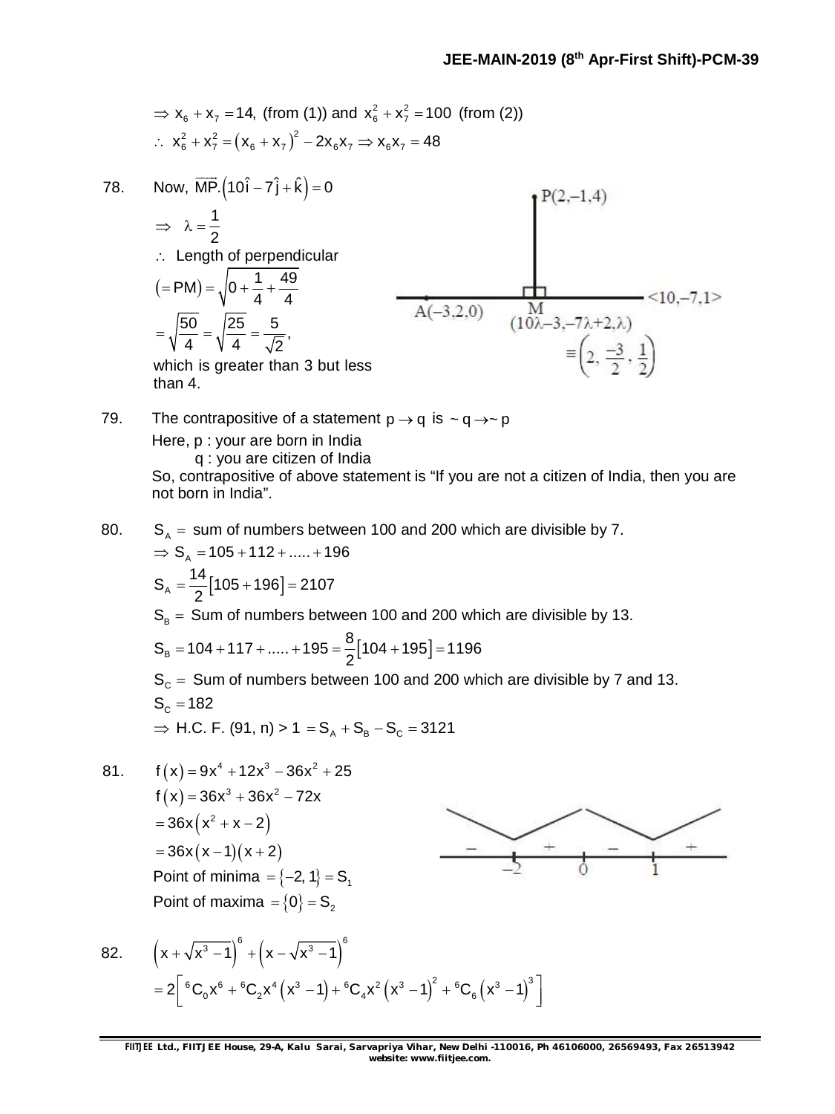⇒ 
$$
x_6 + x_7 = 14
$$
, (from (1)) and  $x_6^2 + x_7^2 = 100$  (from (2))  
∴  $x_6^2 + x_7^2 = (x_6 + x_7)^2 - 2x_6x_7$  ⇒  $x_6x_7 = 48$ 

78. Now, 
$$
\overrightarrow{MP} \cdot (10\hat{i} - 7\hat{j} + \hat{k}) = 0
$$
  
\n
$$
\Rightarrow \lambda = \frac{1}{2}
$$
\n
$$
\therefore \text{ Length of perpendicular}
$$
\n
$$
(\text{P-M}) = \sqrt{0 + \frac{1}{4} + \frac{49}{4}}
$$
\n
$$
= \sqrt{\frac{50}{4}} = \sqrt{\frac{25}{4}} = \frac{5}{\sqrt{2}},
$$
\nwhich is greater than 3 but less than 4.

79. The contrapositive of a statement  $p \rightarrow q$  is  $\sim q \rightarrow \sim p$ Here, p : your are born in India q : you are citizen of India

So, contrapositive of above statement is "If you are not a citizen of India, then you are not born in India".

80.  $S_A =$  sum of numbers between 100 and 200 which are divisible by 7.  $\Rightarrow$  S<sub>A</sub> = 105 + 112 + ..... + 196

$$
S_A = \frac{14}{2} [105 + 196] = 2107
$$
  
\n
$$
S_B = \text{Sum of numbers between 100 and 200 which are divisible by 13.}
$$
  
\n
$$
S_B = 104 + 117 + \dots + 195 = \frac{8}{2} [104 + 195] = 1196
$$
  
\n
$$
S_C = \text{Sum of numbers between 100 and 200 which are divisible by 7 and 13.}
$$
  
\n
$$
S = 182
$$

$$
G_C - T0Z
$$
  
\n⇒ H.C. F. (91, n) > 1 = S<sub>A</sub> + S<sub>B</sub> - S<sub>C</sub> = 3121

81.  $f(x) = 9x^4 + 12x^3 - 36x^2 + 25$  $f(x) = 36x^3 + 36x^2 - 72x$  $= 36x(x^2 + x - 2)$  $=36x(x-1)(x+2)$ Point of minima  $=$  {-2, 1} = S<sub>1</sub> Point of maxima  $= \{0\} = S_2$ 



82. 
$$
\left(x + \sqrt{x^3 - 1}\right)^6 + \left(x - \sqrt{x^3 - 1}\right)^6
$$

$$
= 2\left[ {}^6C_0x^6 + {}^6C_2x^4\left(x^3 - 1\right) + {}^6C_4x^2\left(x^3 - 1\right)^2 + {}^6C_6\left(x^3 - 1\right)^3\right]
$$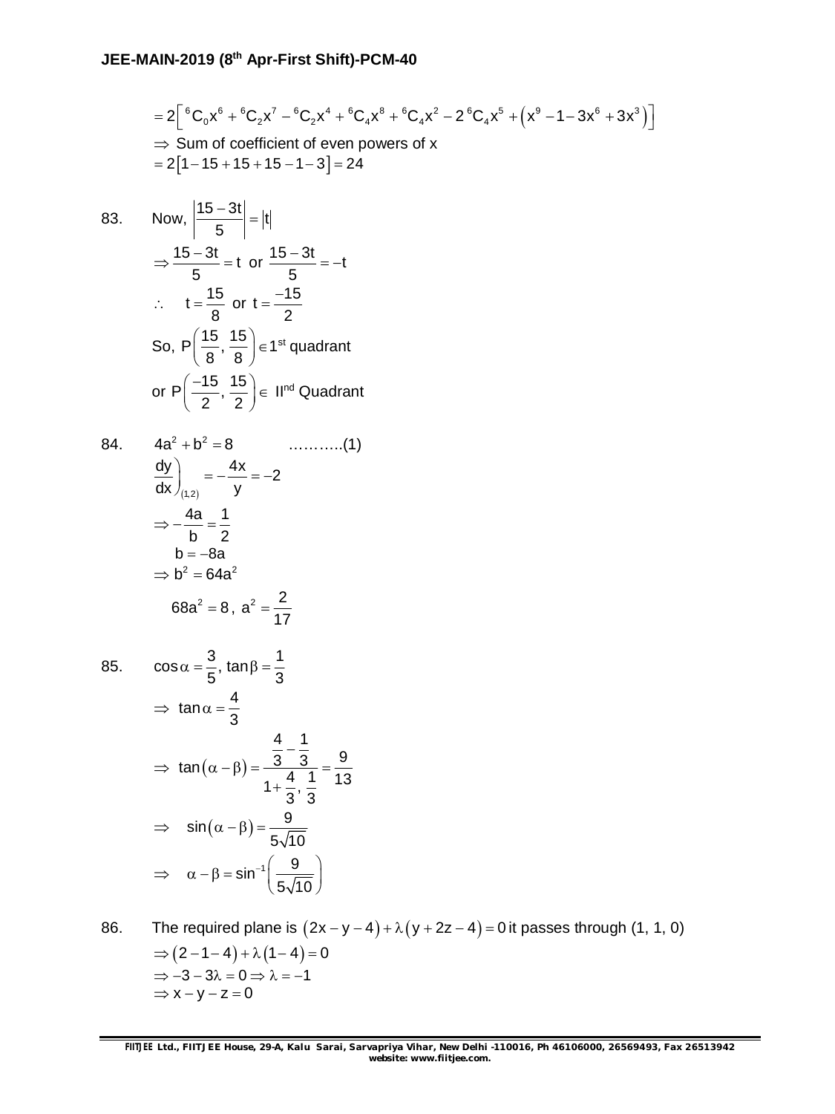$$
= 2\left[ {}^{6}C_{0}x^{6} + {}^{6}C_{2}x^{7} - {}^{6}C_{2}x^{4} + {}^{6}C_{4}x^{8} + {}^{6}C_{4}x^{2} - 2 {}^{6}C_{4}x^{5} + (x^{9} - 1 - 3x^{6} + 3x^{3}) \right]
$$
  
\n⇒ Sum of coefficient of even powers of x  
\n= 2[1-15+15+15-1-3] = 24

83. Now,  $\left| \frac{15 - 3t}{5} \right| = |t|$ 

$$
\Rightarrow \frac{15 - 3t}{5} = t \text{ or } \frac{15 - 3t}{5} = -t
$$
  
\n
$$
\therefore t = \frac{15}{8} \text{ or } t = \frac{-15}{2}
$$
  
\nSo, P $\left(\frac{15}{8}, \frac{15}{8}\right) \in 1^{st}$  quadrant  
\nor P $\left(\frac{-15}{2}, \frac{15}{2}\right) \in II^{nd}$  Quadrant

5  $\left| \frac{-3t}{-} \right| =$ 

84. 
$$
4a^2 + b^2 = 8
$$
 .........(1)  
\n
$$
\frac{dy}{dx}\Big|_{(1,2)} = -\frac{4x}{y} = -2
$$
\n
$$
\Rightarrow -\frac{4a}{b} = \frac{1}{2}
$$
\n
$$
b = -8a
$$
\n
$$
\Rightarrow b^2 = 64a^2
$$
\n
$$
68a^2 = 8, a^2 = \frac{2}{17}
$$

85. 
$$
\cos \alpha = \frac{3}{5}, \tan \beta = \frac{1}{3}
$$

$$
\Rightarrow \tan \alpha = \frac{4}{3}
$$

$$
\Rightarrow \tan (\alpha - \beta) = \frac{\frac{4}{3} - \frac{1}{3}}{1 + \frac{4}{3} \cdot \frac{1}{3}} = \frac{9}{13}
$$

$$
\Rightarrow \sin (\alpha - \beta) = \frac{9}{5\sqrt{10}}
$$

$$
\Rightarrow \alpha - \beta = \sin^{-1} \left(\frac{9}{5\sqrt{10}}\right)
$$

86. The required plane is  $(2x - y - 4) + \lambda (y + 2z - 4) = 0$  it passes through (1, 1, 0)  $\Rightarrow$   $(2 - 1 - 4) + \lambda (1 - 4) = 0$  $\Rightarrow -3 - 3\lambda = 0 \Rightarrow \lambda = -1$  $\Rightarrow$  x - y - z = 0